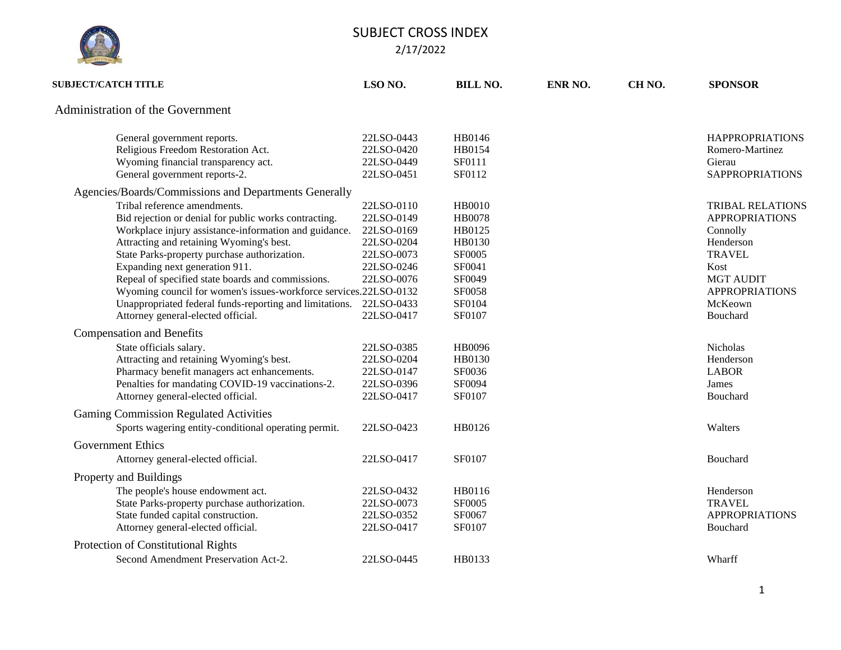

| <b>SUBJECT/CATCH TITLE</b>                                                                                                                                                                                                                 | LSO <sub>NO.</sub>                                                 | <b>BILL NO.</b>                                              | ENR NO. | CH <sub>NO</sub> . | <b>SPONSOR</b>                                                                             |
|--------------------------------------------------------------------------------------------------------------------------------------------------------------------------------------------------------------------------------------------|--------------------------------------------------------------------|--------------------------------------------------------------|---------|--------------------|--------------------------------------------------------------------------------------------|
| Administration of the Government                                                                                                                                                                                                           |                                                                    |                                                              |         |                    |                                                                                            |
| General government reports.<br>Religious Freedom Restoration Act.                                                                                                                                                                          | 22LSO-0443<br>22LSO-0420                                           | HB0146<br>HB0154                                             |         |                    | <b>HAPPROPRIATIONS</b><br>Romero-Martinez                                                  |
| Wyoming financial transparency act.<br>General government reports-2.                                                                                                                                                                       | 22LSO-0449<br>22LSO-0451                                           | SF0111<br>SF0112                                             |         |                    | Gierau<br><b>SAPPROPRIATIONS</b>                                                           |
| Agencies/Boards/Commissions and Departments Generally                                                                                                                                                                                      |                                                                    |                                                              |         |                    |                                                                                            |
| Tribal reference amendments.<br>Bid rejection or denial for public works contracting.<br>Workplace injury assistance-information and guidance.<br>Attracting and retaining Wyoming's best.<br>State Parks-property purchase authorization. | 22LSO-0110<br>22LSO-0149<br>22LSO-0169<br>22LSO-0204<br>22LSO-0073 | <b>HB0010</b><br><b>HB0078</b><br>HB0125<br>HB0130<br>SF0005 |         |                    | <b>TRIBAL RELATIONS</b><br><b>APPROPRIATIONS</b><br>Connolly<br>Henderson<br><b>TRAVEL</b> |
| Expanding next generation 911.<br>Repeal of specified state boards and commissions.<br>Wyoming council for women's issues-workforce services.22LSO-0132<br>Unappropriated federal funds-reporting and limitations.                         | 22LSO-0246<br>22LSO-0076<br>22LSO-0433                             | SF0041<br>SF0049<br>SF0058<br>SF0104                         |         |                    | Kost<br><b>MGT AUDIT</b><br><b>APPROPRIATIONS</b><br>McKeown                               |
| Attorney general-elected official.                                                                                                                                                                                                         | 22LSO-0417                                                         | <b>SF0107</b>                                                |         |                    | Bouchard                                                                                   |
| <b>Compensation and Benefits</b>                                                                                                                                                                                                           |                                                                    |                                                              |         |                    |                                                                                            |
| State officials salary.<br>Attracting and retaining Wyoming's best.<br>Pharmacy benefit managers act enhancements.<br>Penalties for mandating COVID-19 vaccinations-2.<br>Attorney general-elected official.                               | 22LSO-0385<br>22LSO-0204<br>22LSO-0147<br>22LSO-0396<br>22LSO-0417 | HB0096<br>HB0130<br>SF0036<br>SF0094<br>SF0107               |         |                    | Nicholas<br>Henderson<br><b>LABOR</b><br>James<br>Bouchard                                 |
| <b>Gaming Commission Regulated Activities</b>                                                                                                                                                                                              |                                                                    |                                                              |         |                    |                                                                                            |
| Sports wagering entity-conditional operating permit.                                                                                                                                                                                       | 22LSO-0423                                                         | HB0126                                                       |         |                    | Walters                                                                                    |
| <b>Government Ethics</b>                                                                                                                                                                                                                   |                                                                    |                                                              |         |                    |                                                                                            |
| Attorney general-elected official.                                                                                                                                                                                                         | 22LSO-0417                                                         | <b>SF0107</b>                                                |         |                    | Bouchard                                                                                   |
| Property and Buildings                                                                                                                                                                                                                     |                                                                    |                                                              |         |                    |                                                                                            |
| The people's house endowment act.<br>State Parks-property purchase authorization.<br>State funded capital construction.<br>Attorney general-elected official.                                                                              | 22LSO-0432<br>22LSO-0073<br>22LSO-0352<br>22LSO-0417               | HB0116<br>SF0005<br>SF0067<br>SF0107                         |         |                    | Henderson<br><b>TRAVEL</b><br><b>APPROPRIATIONS</b><br>Bouchard                            |
| Protection of Constitutional Rights                                                                                                                                                                                                        |                                                                    |                                                              |         |                    |                                                                                            |
| Second Amendment Preservation Act-2.                                                                                                                                                                                                       | 22LSO-0445                                                         | HB0133                                                       |         |                    | Wharff                                                                                     |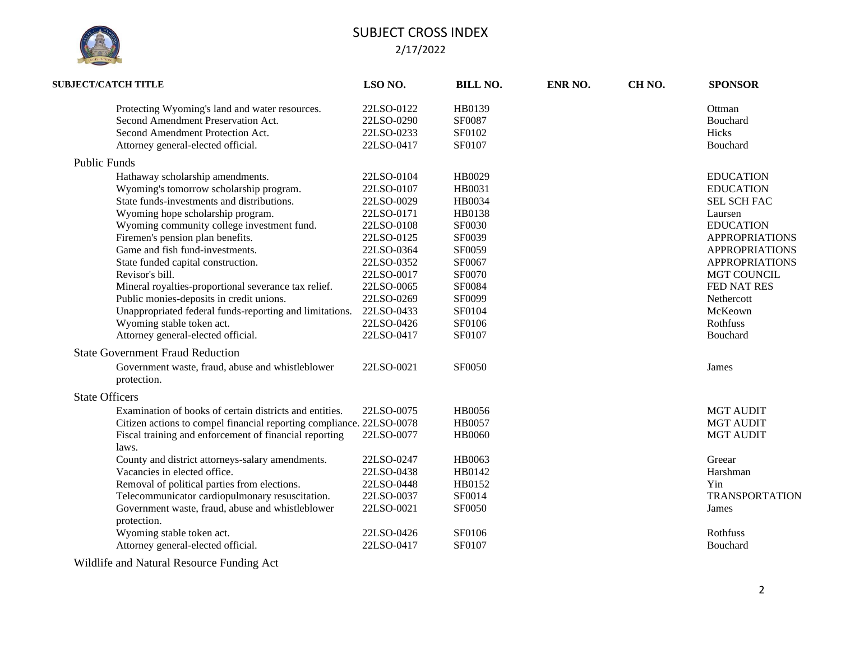

| <b>SUBJECT/CATCH TITLE</b>                                                                                                                                                                  | LSO NO.    | <b>BILL NO.</b> | ENR NO. | CH <sub>NO</sub> . | <b>SPONSOR</b>        |
|---------------------------------------------------------------------------------------------------------------------------------------------------------------------------------------------|------------|-----------------|---------|--------------------|-----------------------|
| Protecting Wyoming's land and water resources.                                                                                                                                              | 22LSO-0122 | HB0139          |         |                    | Ottman                |
| Second Amendment Preservation Act.                                                                                                                                                          | 22LSO-0290 | SF0087          |         |                    | Bouchard              |
| Second Amendment Protection Act.                                                                                                                                                            | 22LSO-0233 | SF0102          |         |                    | Hicks                 |
| Attorney general-elected official.                                                                                                                                                          | 22LSO-0417 | SF0107          |         |                    | Bouchard              |
| <b>Public Funds</b>                                                                                                                                                                         |            |                 |         |                    |                       |
| Hathaway scholarship amendments.                                                                                                                                                            | 22LSO-0104 | HB0029          |         |                    | <b>EDUCATION</b>      |
| Wyoming's tomorrow scholarship program.                                                                                                                                                     | 22LSO-0107 | HB0031          |         |                    | <b>EDUCATION</b>      |
| State funds-investments and distributions.                                                                                                                                                  | 22LSO-0029 | HB0034          |         |                    | <b>SEL SCH FAC</b>    |
| Wyoming hope scholarship program.                                                                                                                                                           | 22LSO-0171 | HB0138          |         |                    | Laursen               |
| Wyoming community college investment fund.                                                                                                                                                  | 22LSO-0108 | SF0030          |         |                    | <b>EDUCATION</b>      |
| Firemen's pension plan benefits.                                                                                                                                                            | 22LSO-0125 | SF0039          |         |                    | <b>APPROPRIATIONS</b> |
| Game and fish fund-investments.                                                                                                                                                             | 22LSO-0364 | SF0059          |         |                    | <b>APPROPRIATIONS</b> |
| State funded capital construction.                                                                                                                                                          | 22LSO-0352 | SF0067          |         |                    | <b>APPROPRIATIONS</b> |
| Revisor's bill.                                                                                                                                                                             | 22LSO-0017 | SF0070          |         |                    | <b>MGT COUNCIL</b>    |
| Mineral royalties-proportional severance tax relief.                                                                                                                                        | 22LSO-0065 | SF0084          |         |                    | FED NAT RES           |
| Public monies-deposits in credit unions.                                                                                                                                                    | 22LSO-0269 | SF0099          |         |                    | Nethercott            |
| Unappropriated federal funds-reporting and limitations.                                                                                                                                     | 22LSO-0433 | <b>SF0104</b>   |         |                    | McKeown               |
| Wyoming stable token act.                                                                                                                                                                   | 22LSO-0426 | SF0106          |         |                    | Rothfuss              |
| Attorney general-elected official.                                                                                                                                                          | 22LSO-0417 | SF0107          |         |                    | Bouchard              |
| <b>State Government Fraud Reduction</b>                                                                                                                                                     |            |                 |         |                    |                       |
| Government waste, fraud, abuse and whistleblower                                                                                                                                            | 22LSO-0021 | <b>SF0050</b>   |         |                    | James                 |
| protection.                                                                                                                                                                                 |            |                 |         |                    |                       |
| <b>State Officers</b>                                                                                                                                                                       |            |                 |         |                    |                       |
| Examination of books of certain districts and entities.                                                                                                                                     | 22LSO-0075 | HB0056          |         |                    | <b>MGT AUDIT</b>      |
| Citizen actions to compel financial reporting compliance. 22LSO-0078                                                                                                                        |            | HB0057          |         |                    | <b>MGT AUDIT</b>      |
| Fiscal training and enforcement of financial reporting<br>laws.                                                                                                                             | 22LSO-0077 | <b>HB0060</b>   |         |                    | <b>MGT AUDIT</b>      |
| County and district attorneys-salary amendments.                                                                                                                                            | 22LSO-0247 | HB0063          |         |                    | Greear                |
| Vacancies in elected office.                                                                                                                                                                | 22LSO-0438 | HB0142          |         |                    | Harshman              |
| Removal of political parties from elections.                                                                                                                                                | 22LSO-0448 | HB0152          |         |                    | Yin                   |
| Telecommunicator cardiopulmonary resuscitation.                                                                                                                                             | 22LSO-0037 | SF0014          |         |                    | <b>TRANSPORTATION</b> |
| Government waste, fraud, abuse and whistleblower<br>protection.                                                                                                                             | 22LSO-0021 | SF0050          |         |                    | James                 |
| Wyoming stable token act.                                                                                                                                                                   | 22LSO-0426 | SF0106          |         |                    | Rothfuss              |
| Attorney general-elected official.                                                                                                                                                          | 22LSO-0417 | SF0107          |         |                    | Bouchard              |
| $\sim$ $\sim$ $\sim$ $\sim$ $\sim$ $\sim$<br>$\mathbf{v}$ $\mathbf{v}$ $\mathbf{v}$ $\mathbf{v}$ $\mathbf{v}$ $\mathbf{v}$ $\mathbf{v}$ $\mathbf{v}$ $\mathbf{v}$ $\mathbf{v}$ $\mathbf{v}$ |            |                 |         |                    |                       |

Wildlife and Natural Resource Funding Act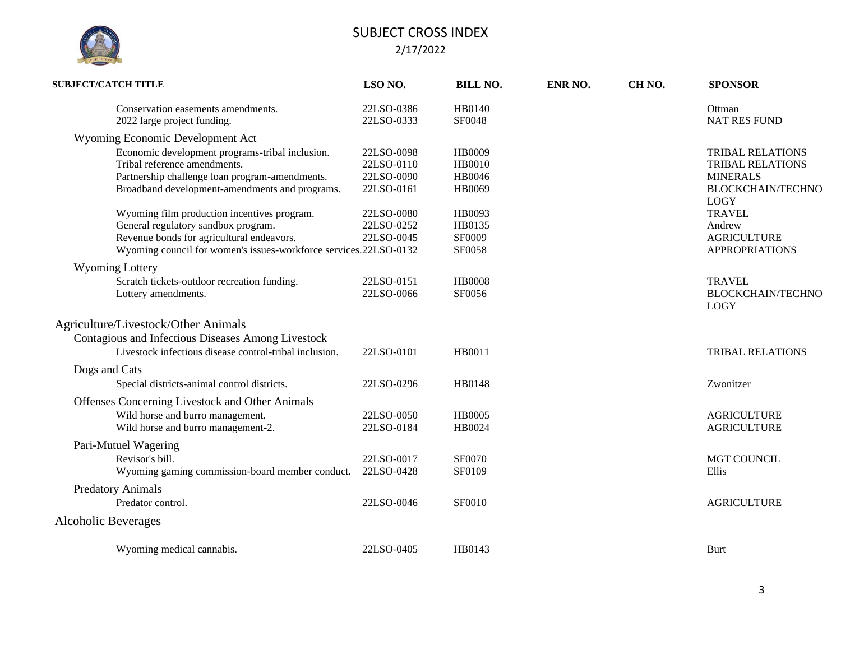

| <b>SUBJECT/CATCH TITLE</b>          |                                                                                                                                                                                     | LSO NO.                                              | <b>BILL NO.</b>                                    | ENR NO. | CH <sub>NO</sub> . | <b>SPONSOR</b>                                                                                            |
|-------------------------------------|-------------------------------------------------------------------------------------------------------------------------------------------------------------------------------------|------------------------------------------------------|----------------------------------------------------|---------|--------------------|-----------------------------------------------------------------------------------------------------------|
|                                     | Conservation easements amendments.<br>2022 large project funding.                                                                                                                   | 22LSO-0386<br>22LSO-0333                             | HB0140<br>SF0048                                   |         |                    | Ottman<br><b>NAT RES FUND</b>                                                                             |
|                                     | Wyoming Economic Development Act                                                                                                                                                    |                                                      |                                                    |         |                    |                                                                                                           |
|                                     | Economic development programs-tribal inclusion.<br>Tribal reference amendments.<br>Partnership challenge loan program-amendments.<br>Broadband development-amendments and programs. | 22LSO-0098<br>22LSO-0110<br>22LSO-0090<br>22LSO-0161 | <b>HB0009</b><br><b>HB0010</b><br>HB0046<br>HB0069 |         |                    | TRIBAL RELATIONS<br><b>TRIBAL RELATIONS</b><br><b>MINERALS</b><br><b>BLOCKCHAIN/TECHNO</b><br><b>LOGY</b> |
|                                     | Wyoming film production incentives program.                                                                                                                                         | 22LSO-0080                                           | HB0093                                             |         |                    | <b>TRAVEL</b>                                                                                             |
|                                     | General regulatory sandbox program.                                                                                                                                                 | 22LSO-0252                                           | HB0135                                             |         |                    | Andrew                                                                                                    |
|                                     | Revenue bonds for agricultural endeavors.                                                                                                                                           | 22LSO-0045                                           | SF0009                                             |         |                    | <b>AGRICULTURE</b>                                                                                        |
|                                     | Wyoming council for women's issues-workforce services.22LSO-0132                                                                                                                    |                                                      | SF0058                                             |         |                    | <b>APPROPRIATIONS</b>                                                                                     |
| <b>Wyoming Lottery</b>              |                                                                                                                                                                                     |                                                      |                                                    |         |                    |                                                                                                           |
|                                     | Scratch tickets-outdoor recreation funding.                                                                                                                                         | 22LSO-0151                                           | <b>HB0008</b>                                      |         |                    | <b>TRAVEL</b>                                                                                             |
|                                     | Lottery amendments.                                                                                                                                                                 | 22LSO-0066                                           | SF0056                                             |         |                    | <b>BLOCKCHAIN/TECHNO</b><br><b>LOGY</b>                                                                   |
| Agriculture/Livestock/Other Animals |                                                                                                                                                                                     |                                                      |                                                    |         |                    |                                                                                                           |
|                                     | Contagious and Infectious Diseases Among Livestock                                                                                                                                  |                                                      |                                                    |         |                    |                                                                                                           |
|                                     | Livestock infectious disease control-tribal inclusion.                                                                                                                              | 22LSO-0101                                           | HB0011                                             |         |                    | <b>TRIBAL RELATIONS</b>                                                                                   |
| Dogs and Cats                       |                                                                                                                                                                                     |                                                      |                                                    |         |                    |                                                                                                           |
|                                     | Special districts-animal control districts.                                                                                                                                         | 22LSO-0296                                           | HB0148                                             |         |                    | Zwonitzer                                                                                                 |
|                                     | Offenses Concerning Livestock and Other Animals                                                                                                                                     |                                                      |                                                    |         |                    |                                                                                                           |
|                                     | Wild horse and burro management.                                                                                                                                                    | 22LSO-0050                                           | <b>HB0005</b>                                      |         |                    | <b>AGRICULTURE</b>                                                                                        |
|                                     | Wild horse and burro management-2.                                                                                                                                                  | 22LSO-0184                                           | HB0024                                             |         |                    | <b>AGRICULTURE</b>                                                                                        |
| Pari-Mutuel Wagering                |                                                                                                                                                                                     |                                                      |                                                    |         |                    |                                                                                                           |
| Revisor's bill.                     |                                                                                                                                                                                     | 22LSO-0017                                           | SF0070                                             |         |                    | <b>MGT COUNCIL</b>                                                                                        |
|                                     | Wyoming gaming commission-board member conduct.                                                                                                                                     | 22LSO-0428                                           | <b>SF0109</b>                                      |         |                    | Ellis                                                                                                     |
| <b>Predatory Animals</b>            |                                                                                                                                                                                     |                                                      |                                                    |         |                    |                                                                                                           |
| Predator control.                   |                                                                                                                                                                                     | 22LSO-0046                                           | SF0010                                             |         |                    | <b>AGRICULTURE</b>                                                                                        |
| <b>Alcoholic Beverages</b>          |                                                                                                                                                                                     |                                                      |                                                    |         |                    |                                                                                                           |
|                                     | Wyoming medical cannabis.                                                                                                                                                           | 22LSO-0405                                           | HB0143                                             |         |                    | <b>Burt</b>                                                                                               |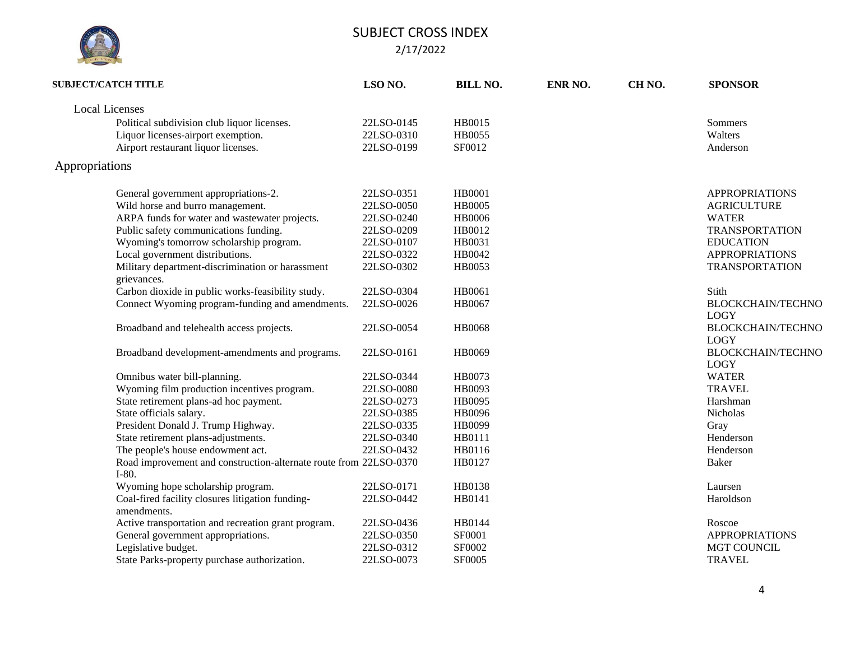|  | <b>SISLATURE</b> |  |
|--|------------------|--|

| <b>SUBJECT/CATCH TITLE</b>                                                   | LSO <sub>NO.</sub> | <b>BILL NO.</b> | ENR NO. | CH <sub>NO</sub> . | <b>SPONSOR</b>                          |
|------------------------------------------------------------------------------|--------------------|-----------------|---------|--------------------|-----------------------------------------|
| <b>Local Licenses</b>                                                        |                    |                 |         |                    |                                         |
| Political subdivision club liquor licenses.                                  | 22LSO-0145         | HB0015          |         |                    | Sommers                                 |
| Liquor licenses-airport exemption.                                           | 22LSO-0310         | HB0055          |         |                    | Walters                                 |
| Airport restaurant liquor licenses.                                          | 22LSO-0199         | SF0012          |         |                    | Anderson                                |
| Appropriations                                                               |                    |                 |         |                    |                                         |
| General government appropriations-2.                                         | 22LSO-0351         | <b>HB0001</b>   |         |                    | <b>APPROPRIATIONS</b>                   |
| Wild horse and burro management.                                             | 22LSO-0050         | <b>HB0005</b>   |         |                    | <b>AGRICULTURE</b>                      |
| ARPA funds for water and wastewater projects.                                | 22LSO-0240         | <b>HB0006</b>   |         |                    | <b>WATER</b>                            |
| Public safety communications funding.                                        | 22LSO-0209         | HB0012          |         |                    | <b>TRANSPORTATION</b>                   |
| Wyoming's tomorrow scholarship program.                                      | 22LSO-0107         | HB0031          |         |                    | <b>EDUCATION</b>                        |
| Local government distributions.                                              | 22LSO-0322         | HB0042          |         |                    | <b>APPROPRIATIONS</b>                   |
| Military department-discrimination or harassment<br>grievances.              | 22LSO-0302         | HB0053          |         |                    | <b>TRANSPORTATION</b>                   |
| Carbon dioxide in public works-feasibility study.                            | 22LSO-0304         | HB0061          |         |                    | Stith                                   |
| Connect Wyoming program-funding and amendments.                              | 22LSO-0026         | HB0067          |         |                    | <b>BLOCKCHAIN/TECHNO</b><br><b>LOGY</b> |
| Broadband and telehealth access projects.                                    | 22LSO-0054         | <b>HB0068</b>   |         |                    | <b>BLOCKCHAIN/TECHNO</b><br><b>LOGY</b> |
| Broadband development-amendments and programs.                               | 22LSO-0161         | HB0069          |         |                    | <b>BLOCKCHAIN/TECHNO</b><br><b>LOGY</b> |
| Omnibus water bill-planning.                                                 | 22LSO-0344         | HB0073          |         |                    | <b>WATER</b>                            |
| Wyoming film production incentives program.                                  | 22LSO-0080         | HB0093          |         |                    | <b>TRAVEL</b>                           |
| State retirement plans-ad hoc payment.                                       | 22LSO-0273         | HB0095          |         |                    | Harshman                                |
| State officials salary.                                                      | 22LSO-0385         | HB0096          |         |                    | Nicholas                                |
| President Donald J. Trump Highway.                                           | 22LSO-0335         | HB0099          |         |                    | Gray                                    |
| State retirement plans-adjustments.                                          | 22LSO-0340         | HB0111          |         |                    | Henderson                               |
| The people's house endowment act.                                            | 22LSO-0432         | HB0116          |         |                    | Henderson                               |
| Road improvement and construction-alternate route from 22LSO-0370<br>$I-80.$ |                    | HB0127          |         |                    | <b>Baker</b>                            |
| Wyoming hope scholarship program.                                            | 22LSO-0171         | HB0138          |         |                    | Laursen                                 |
| Coal-fired facility closures litigation funding-<br>amendments.              | 22LSO-0442         | HB0141          |         |                    | Haroldson                               |
| Active transportation and recreation grant program.                          | 22LSO-0436         | HB0144          |         |                    | Roscoe                                  |
| General government appropriations.                                           | 22LSO-0350         | SF0001          |         |                    | <b>APPROPRIATIONS</b>                   |
| Legislative budget.                                                          | 22LSO-0312         | SF0002          |         |                    | MGT COUNCIL                             |
| State Parks-property purchase authorization.                                 | 22LSO-0073         | SF0005          |         |                    | <b>TRAVEL</b>                           |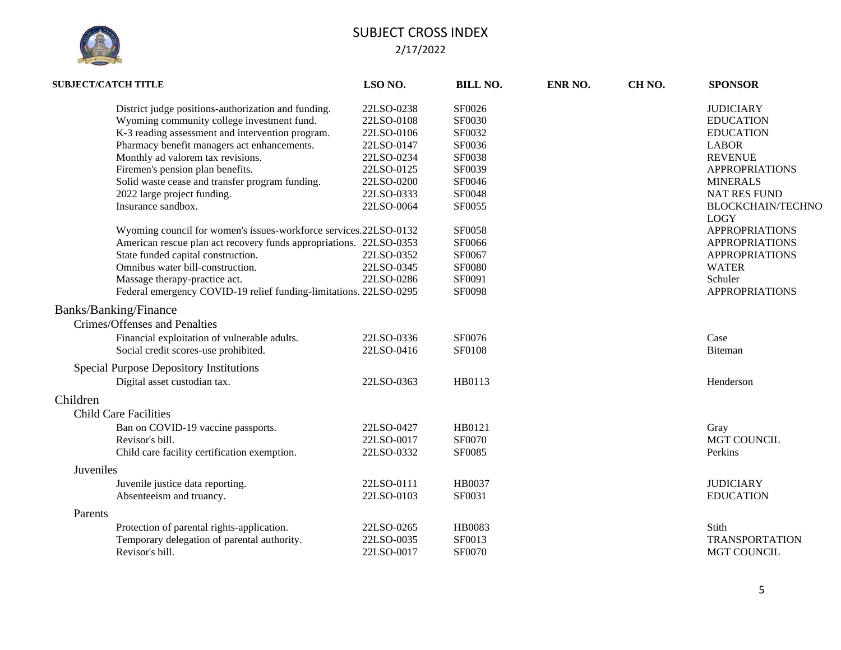

| <b>SUBJECT/CATCH TITLE</b> |                                                                    | LSO NO.    | <b>BILL NO.</b> | ENR NO. | CH <sub>NO</sub> . | <b>SPONSOR</b>                          |
|----------------------------|--------------------------------------------------------------------|------------|-----------------|---------|--------------------|-----------------------------------------|
|                            | District judge positions-authorization and funding.                | 22LSO-0238 | SF0026          |         |                    | <b>JUDICIARY</b>                        |
|                            | Wyoming community college investment fund.                         | 22LSO-0108 | SF0030          |         |                    | <b>EDUCATION</b>                        |
|                            | K-3 reading assessment and intervention program.                   | 22LSO-0106 | SF0032          |         |                    | <b>EDUCATION</b>                        |
|                            | Pharmacy benefit managers act enhancements.                        | 22LSO-0147 | SF0036          |         |                    | <b>LABOR</b>                            |
|                            | Monthly ad valorem tax revisions.                                  | 22LSO-0234 | <b>SF0038</b>   |         |                    | <b>REVENUE</b>                          |
|                            | Firemen's pension plan benefits.                                   | 22LSO-0125 | SF0039          |         |                    | <b>APPROPRIATIONS</b>                   |
|                            | Solid waste cease and transfer program funding.                    | 22LSO-0200 | SF0046          |         |                    | <b>MINERALS</b>                         |
|                            | 2022 large project funding.                                        | 22LSO-0333 | SF0048          |         |                    | <b>NAT RES FUND</b>                     |
|                            | Insurance sandbox.                                                 | 22LSO-0064 | SF0055          |         |                    | <b>BLOCKCHAIN/TECHNO</b><br><b>LOGY</b> |
|                            | Wyoming council for women's issues-workforce services.22LSO-0132   |            | <b>SF0058</b>   |         |                    | <b>APPROPRIATIONS</b>                   |
|                            | American rescue plan act recovery funds appropriations. 22LSO-0353 |            | SF0066          |         |                    | <b>APPROPRIATIONS</b>                   |
|                            | State funded capital construction.                                 | 22LSO-0352 | SF0067          |         |                    | <b>APPROPRIATIONS</b>                   |
|                            | Omnibus water bill-construction.                                   | 22LSO-0345 | <b>SF0080</b>   |         |                    | <b>WATER</b>                            |
|                            | Massage therapy-practice act.                                      | 22LSO-0286 | SF0091          |         |                    | Schuler                                 |
|                            | Federal emergency COVID-19 relief funding-limitations. 22LSO-0295  |            | SF0098          |         |                    | <b>APPROPRIATIONS</b>                   |
|                            | Banks/Banking/Finance                                              |            |                 |         |                    |                                         |
|                            | Crimes/Offenses and Penalties                                      |            |                 |         |                    |                                         |
|                            | Financial exploitation of vulnerable adults.                       | 22LSO-0336 | SF0076          |         |                    | Case                                    |
|                            | Social credit scores-use prohibited.                               | 22LSO-0416 | SF0108          |         |                    | <b>Biteman</b>                          |
|                            | Special Purpose Depository Institutions                            |            |                 |         |                    |                                         |
|                            | Digital asset custodian tax.                                       | 22LSO-0363 | HB0113          |         |                    | Henderson                               |
| Children                   |                                                                    |            |                 |         |                    |                                         |
|                            |                                                                    |            |                 |         |                    |                                         |
|                            | <b>Child Care Facilities</b>                                       |            |                 |         |                    |                                         |
|                            | Ban on COVID-19 vaccine passports.                                 | 22LSO-0427 | HB0121          |         |                    | Gray                                    |
|                            | Revisor's bill.                                                    | 22LSO-0017 | SF0070          |         |                    | MGT COUNCIL                             |
|                            | Child care facility certification exemption.                       | 22LSO-0332 | SF0085          |         |                    | Perkins                                 |
| Juveniles                  |                                                                    |            |                 |         |                    |                                         |
|                            | Juvenile justice data reporting.                                   | 22LSO-0111 | HB0037          |         |                    | <b>JUDICIARY</b>                        |
|                            | Absenteeism and truancy.                                           | 22LSO-0103 | SF0031          |         |                    | <b>EDUCATION</b>                        |
| Parents                    |                                                                    |            |                 |         |                    |                                         |
|                            | Protection of parental rights-application.                         | 22LSO-0265 | <b>HB0083</b>   |         |                    | Stith                                   |
|                            | Temporary delegation of parental authority.                        | 22LSO-0035 | SF0013          |         |                    | <b>TRANSPORTATION</b>                   |
|                            | Revisor's bill.                                                    | 22LSO-0017 | SF0070          |         |                    | <b>MGT COUNCIL</b>                      |
|                            |                                                                    |            |                 |         |                    |                                         |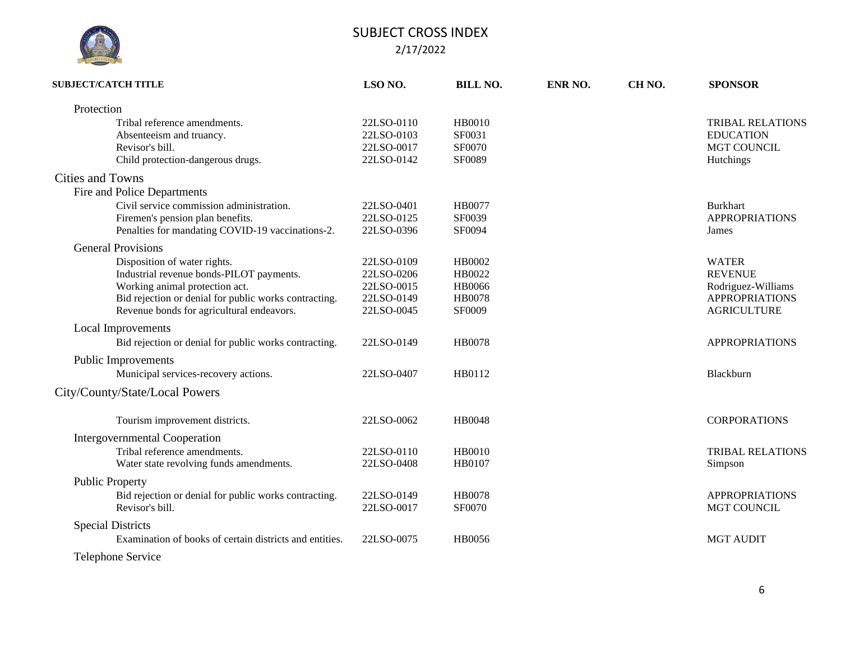

| <b>SUBJECT/CATCH TITLE</b>                              | LSO <sub>NO.</sub> | <b>BILL NO.</b> | ENR NO. | CH <sub>NO</sub> . | <b>SPONSOR</b>          |
|---------------------------------------------------------|--------------------|-----------------|---------|--------------------|-------------------------|
| Protection                                              |                    |                 |         |                    |                         |
| Tribal reference amendments.                            | 22LSO-0110         | <b>HB0010</b>   |         |                    | <b>TRIBAL RELATIONS</b> |
| Absenteeism and truancy.                                | 22LSO-0103         | SF0031          |         |                    | <b>EDUCATION</b>        |
| Revisor's bill.                                         | 22LSO-0017         | SF0070          |         |                    | MGT COUNCIL             |
| Child protection-dangerous drugs.                       | 22LSO-0142         | SF0089          |         |                    | Hutchings               |
| <b>Cities and Towns</b>                                 |                    |                 |         |                    |                         |
| Fire and Police Departments                             |                    |                 |         |                    |                         |
| Civil service commission administration.                | 22LSO-0401         | HB0077          |         |                    | <b>Burkhart</b>         |
| Firemen's pension plan benefits.                        | 22LSO-0125         | SF0039          |         |                    | <b>APPROPRIATIONS</b>   |
| Penalties for mandating COVID-19 vaccinations-2.        | 22LSO-0396         | SF0094          |         |                    | James                   |
| <b>General Provisions</b>                               |                    |                 |         |                    |                         |
| Disposition of water rights.                            | 22LSO-0109         | HB0002          |         |                    | <b>WATER</b>            |
| Industrial revenue bonds-PILOT payments.                | 22LSO-0206         | HB0022          |         |                    | <b>REVENUE</b>          |
| Working animal protection act.                          | 22LSO-0015         | <b>HB0066</b>   |         |                    | Rodriguez-Williams      |
| Bid rejection or denial for public works contracting.   | 22LSO-0149         | <b>HB0078</b>   |         |                    | <b>APPROPRIATIONS</b>   |
| Revenue bonds for agricultural endeavors.               | 22LSO-0045         | <b>SF0009</b>   |         |                    | <b>AGRICULTURE</b>      |
| <b>Local Improvements</b>                               |                    |                 |         |                    |                         |
| Bid rejection or denial for public works contracting.   | 22LSO-0149         | <b>HB0078</b>   |         |                    | <b>APPROPRIATIONS</b>   |
| Public Improvements                                     |                    |                 |         |                    |                         |
| Municipal services-recovery actions.                    | 22LSO-0407         | HB0112          |         |                    | Blackburn               |
| City/County/State/Local Powers                          |                    |                 |         |                    |                         |
| Tourism improvement districts.                          | 22LSO-0062         | <b>HB0048</b>   |         |                    | <b>CORPORATIONS</b>     |
| <b>Intergovernmental Cooperation</b>                    |                    |                 |         |                    |                         |
| Tribal reference amendments.                            | 22LSO-0110         | <b>HB0010</b>   |         |                    | <b>TRIBAL RELATIONS</b> |
| Water state revolving funds amendments.                 | 22LSO-0408         | HB0107          |         |                    | Simpson                 |
| <b>Public Property</b>                                  |                    |                 |         |                    |                         |
| Bid rejection or denial for public works contracting.   | 22LSO-0149         | <b>HB0078</b>   |         |                    | <b>APPROPRIATIONS</b>   |
| Revisor's bill.                                         | 22LSO-0017         | SF0070          |         |                    | MGT COUNCIL             |
| <b>Special Districts</b>                                |                    |                 |         |                    |                         |
| Examination of books of certain districts and entities. | 22LSO-0075         | HB0056          |         |                    | <b>MGT AUDIT</b>        |
| Telephone Service                                       |                    |                 |         |                    |                         |
|                                                         |                    |                 |         |                    |                         |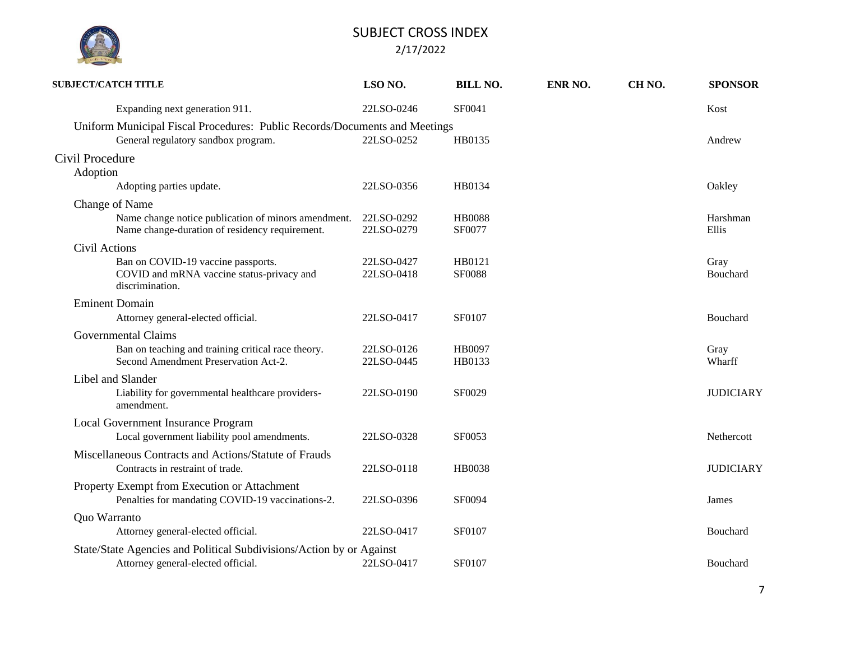

| <b>SUBJECT/CATCH TITLE</b> |                                                                                                       | LSO NO.                  | <b>BILL NO.</b>         | ENR NO. | CH <sub>NO</sub> . | <b>SPONSOR</b>    |
|----------------------------|-------------------------------------------------------------------------------------------------------|--------------------------|-------------------------|---------|--------------------|-------------------|
|                            | Expanding next generation 911.                                                                        | 22LSO-0246               | SF0041                  |         |                    | Kost              |
|                            | Uniform Municipal Fiscal Procedures: Public Records/Documents and Meetings                            |                          |                         |         |                    |                   |
|                            | General regulatory sandbox program.                                                                   | 22LSO-0252               | HB0135                  |         |                    | Andrew            |
| Civil Procedure            |                                                                                                       |                          |                         |         |                    |                   |
| Adoption                   |                                                                                                       |                          |                         |         |                    |                   |
|                            | Adopting parties update.                                                                              | 22LSO-0356               | HB0134                  |         |                    | Oakley            |
| Change of Name             |                                                                                                       |                          |                         |         |                    |                   |
|                            | Name change notice publication of minors amendment.<br>Name change-duration of residency requirement. | 22LSO-0292<br>22LSO-0279 | <b>HB0088</b><br>SF0077 |         |                    | Harshman<br>Ellis |
| Civil Actions              |                                                                                                       |                          |                         |         |                    |                   |
|                            | Ban on COVID-19 vaccine passports.                                                                    | 22LSO-0427               | HB0121                  |         |                    | Gray              |
|                            | COVID and mRNA vaccine status-privacy and<br>discrimination.                                          | 22LSO-0418               | <b>SF0088</b>           |         |                    | Bouchard          |
|                            | <b>Eminent Domain</b>                                                                                 |                          |                         |         |                    |                   |
|                            | Attorney general-elected official.                                                                    | 22LSO-0417               | SF0107                  |         |                    | Bouchard          |
|                            | Governmental Claims                                                                                   |                          |                         |         |                    |                   |
|                            | Ban on teaching and training critical race theory.                                                    | 22LSO-0126               | HB0097                  |         |                    | Gray              |
|                            | Second Amendment Preservation Act-2.                                                                  | 22LSO-0445               | HB0133                  |         |                    | Wharff            |
|                            | Libel and Slander                                                                                     |                          |                         |         |                    |                   |
|                            | Liability for governmental healthcare providers-<br>amendment.                                        | 22LSO-0190               | SF0029                  |         |                    | <b>JUDICIARY</b>  |
|                            | Local Government Insurance Program                                                                    |                          |                         |         |                    |                   |
|                            | Local government liability pool amendments.                                                           | 22LSO-0328               | SF0053                  |         |                    | Nethercott        |
|                            | Miscellaneous Contracts and Actions/Statute of Frauds                                                 |                          |                         |         |                    |                   |
|                            | Contracts in restraint of trade.                                                                      | 22LSO-0118               | HB0038                  |         |                    | <b>JUDICIARY</b>  |
|                            | Property Exempt from Execution or Attachment                                                          |                          |                         |         |                    |                   |
|                            | Penalties for mandating COVID-19 vaccinations-2.                                                      | 22LSO-0396               | SF0094                  |         |                    | James             |
| Quo Warranto               |                                                                                                       |                          |                         |         |                    |                   |
|                            | Attorney general-elected official.                                                                    | 22LSO-0417               | <b>SF0107</b>           |         |                    | Bouchard          |
|                            | State/State Agencies and Political Subdivisions/Action by or Against                                  |                          |                         |         |                    |                   |
|                            | Attorney general-elected official.                                                                    | 22LSO-0417               | SF0107                  |         |                    | Bouchard          |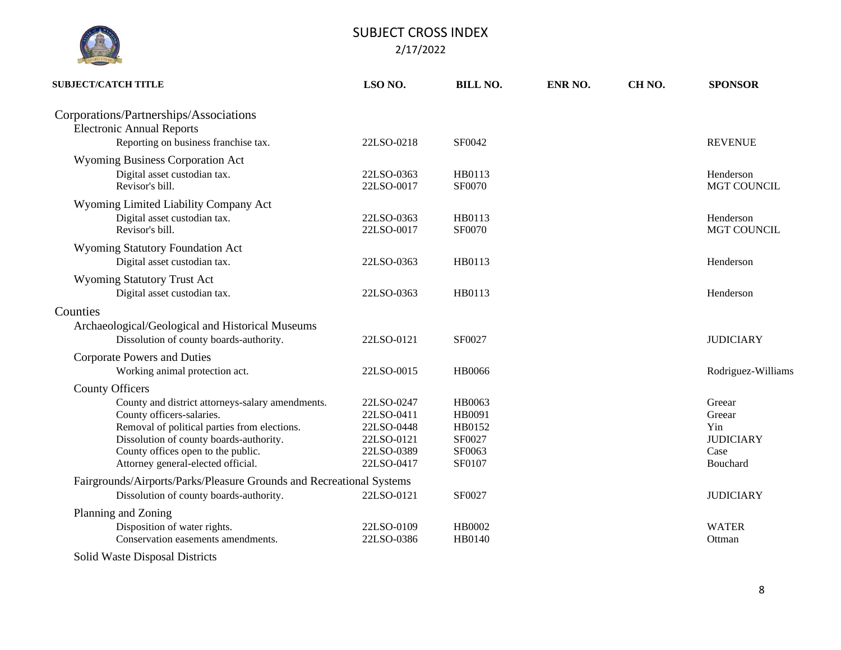| <b>SUBJECT/CATCH TITLE</b>                                                 | LSO NO.    | <b>BILL NO.</b> | ENR NO. | CH <sub>NO</sub> . | <b>SPONSOR</b>     |
|----------------------------------------------------------------------------|------------|-----------------|---------|--------------------|--------------------|
| Corporations/Partnerships/Associations<br><b>Electronic Annual Reports</b> |            |                 |         |                    |                    |
| Reporting on business franchise tax.                                       | 22LSO-0218 | SF0042          |         |                    | <b>REVENUE</b>     |
| <b>Wyoming Business Corporation Act</b>                                    |            |                 |         |                    |                    |
| Digital asset custodian tax.                                               | 22LSO-0363 | HB0113          |         |                    | Henderson          |
| Revisor's bill.                                                            | 22LSO-0017 | SF0070          |         |                    | MGT COUNCIL        |
| Wyoming Limited Liability Company Act                                      |            |                 |         |                    |                    |
| Digital asset custodian tax.                                               | 22LSO-0363 | HB0113          |         |                    | Henderson          |
| Revisor's bill.                                                            | 22LSO-0017 | SF0070          |         |                    | <b>MGT COUNCIL</b> |
| Wyoming Statutory Foundation Act                                           |            |                 |         |                    |                    |
| Digital asset custodian tax.                                               | 22LSO-0363 | HB0113          |         |                    | Henderson          |
| <b>Wyoming Statutory Trust Act</b>                                         |            |                 |         |                    |                    |
| Digital asset custodian tax.                                               | 22LSO-0363 | HB0113          |         |                    | Henderson          |
| Counties                                                                   |            |                 |         |                    |                    |
| Archaeological/Geological and Historical Museums                           |            |                 |         |                    |                    |
| Dissolution of county boards-authority.                                    | 22LSO-0121 | SF0027          |         |                    | <b>JUDICIARY</b>   |
| <b>Corporate Powers and Duties</b>                                         |            |                 |         |                    |                    |
| Working animal protection act.                                             | 22LSO-0015 | <b>HB0066</b>   |         |                    | Rodriguez-Williams |
| <b>County Officers</b>                                                     |            |                 |         |                    |                    |
| County and district attorneys-salary amendments.                           | 22LSO-0247 | HB0063          |         |                    | Greear             |
| County officers-salaries.                                                  | 22LSO-0411 | HB0091          |         |                    | Greear             |
| Removal of political parties from elections.                               | 22LSO-0448 | HB0152          |         |                    | Yin                |
| Dissolution of county boards-authority.                                    | 22LSO-0121 | SF0027          |         |                    | <b>JUDICIARY</b>   |
| County offices open to the public.                                         | 22LSO-0389 | SF0063          |         |                    | Case               |
| Attorney general-elected official.                                         | 22LSO-0417 | SF0107          |         |                    | Bouchard           |
| Fairgrounds/Airports/Parks/Pleasure Grounds and Recreational Systems       |            |                 |         |                    |                    |
| Dissolution of county boards-authority.                                    | 22LSO-0121 | <b>SF0027</b>   |         |                    | <b>JUDICIARY</b>   |
| Planning and Zoning                                                        |            |                 |         |                    |                    |
| Disposition of water rights.                                               | 22LSO-0109 | HB0002          |         |                    | <b>WATER</b>       |
| Conservation easements amendments.                                         | 22LSO-0386 | HB0140          |         |                    | Ottman             |
| Solid Waste Disposal Districts                                             |            |                 |         |                    |                    |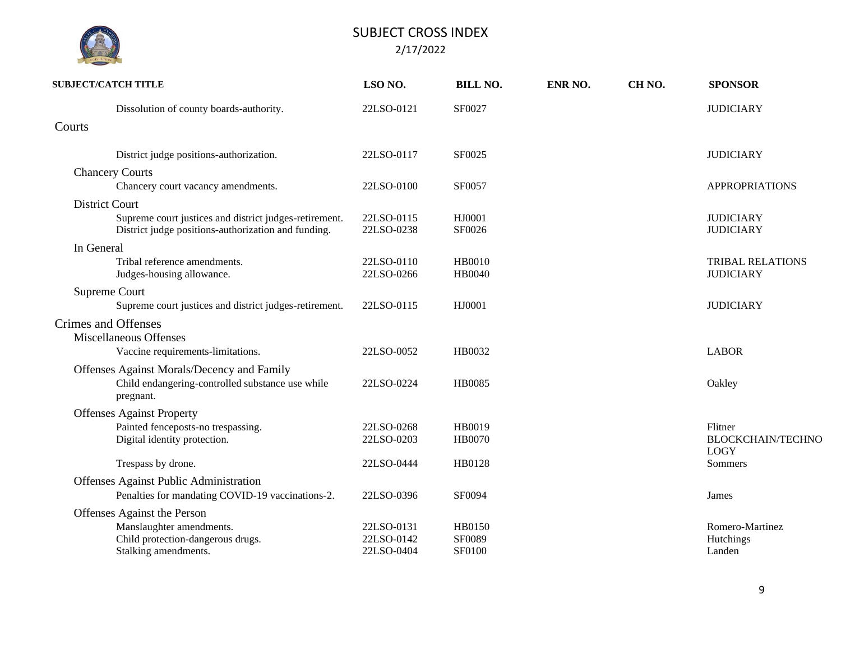|            | <b>SUBJECT/CATCH TITLE</b>                                                                                    | LSO NO.                  | <b>BILL NO.</b>         | ENR NO. | CH <sub>NO</sub> . | <b>SPONSOR</b>                                     |
|------------|---------------------------------------------------------------------------------------------------------------|--------------------------|-------------------------|---------|--------------------|----------------------------------------------------|
|            | Dissolution of county boards-authority.                                                                       | 22LSO-0121               | SF0027                  |         |                    | <b>JUDICIARY</b>                                   |
| Courts     |                                                                                                               |                          |                         |         |                    |                                                    |
|            | District judge positions-authorization.                                                                       | 22LSO-0117               | SF0025                  |         |                    | <b>JUDICIARY</b>                                   |
|            | <b>Chancery Courts</b>                                                                                        |                          |                         |         |                    |                                                    |
|            | Chancery court vacancy amendments.                                                                            | 22LSO-0100               | SF0057                  |         |                    | <b>APPROPRIATIONS</b>                              |
|            | District Court                                                                                                |                          |                         |         |                    |                                                    |
|            | Supreme court justices and district judges-retirement.<br>District judge positions-authorization and funding. | 22LSO-0115<br>22LSO-0238 | HJ0001<br>SF0026        |         |                    | <b>JUDICIARY</b><br><b>JUDICIARY</b>               |
| In General |                                                                                                               |                          |                         |         |                    |                                                    |
|            | Tribal reference amendments.<br>Judges-housing allowance.                                                     | 22LSO-0110<br>22LSO-0266 | HB0010<br><b>HB0040</b> |         |                    | <b>TRIBAL RELATIONS</b><br><b>JUDICIARY</b>        |
|            | Supreme Court                                                                                                 |                          |                         |         |                    |                                                    |
|            | Supreme court justices and district judges-retirement.                                                        | 22LSO-0115               | HJ0001                  |         |                    | <b>JUDICIARY</b>                                   |
|            | Crimes and Offenses<br>Miscellaneous Offenses                                                                 |                          |                         |         |                    |                                                    |
|            | Vaccine requirements-limitations.                                                                             | 22LSO-0052               | HB0032                  |         |                    | <b>LABOR</b>                                       |
|            | Offenses Against Morals/Decency and Family<br>Child endangering-controlled substance use while<br>pregnant.   | 22LSO-0224               | <b>HB0085</b>           |         |                    | Oakley                                             |
|            | <b>Offenses Against Property</b>                                                                              |                          |                         |         |                    |                                                    |
|            | Painted fenceposts-no trespassing.<br>Digital identity protection.                                            | 22LSO-0268<br>22LSO-0203 | HB0019<br><b>HB0070</b> |         |                    | Flitner<br><b>BLOCKCHAIN/TECHNO</b><br><b>LOGY</b> |
|            | Trespass by drone.                                                                                            | 22LSO-0444               | HB0128                  |         |                    | Sommers                                            |
|            | Offenses Against Public Administration                                                                        |                          |                         |         |                    |                                                    |
|            | Penalties for mandating COVID-19 vaccinations-2.                                                              | 22LSO-0396               | SF0094                  |         |                    | James                                              |
|            | Offenses Against the Person                                                                                   |                          |                         |         |                    |                                                    |
|            | Manslaughter amendments.                                                                                      | 22LSO-0131               | <b>HB0150</b>           |         |                    | Romero-Martinez                                    |
|            | Child protection-dangerous drugs.<br>Stalking amendments.                                                     | 22LSO-0142<br>22LSO-0404 | SF0089<br><b>SF0100</b> |         |                    | Hutchings<br>Landen                                |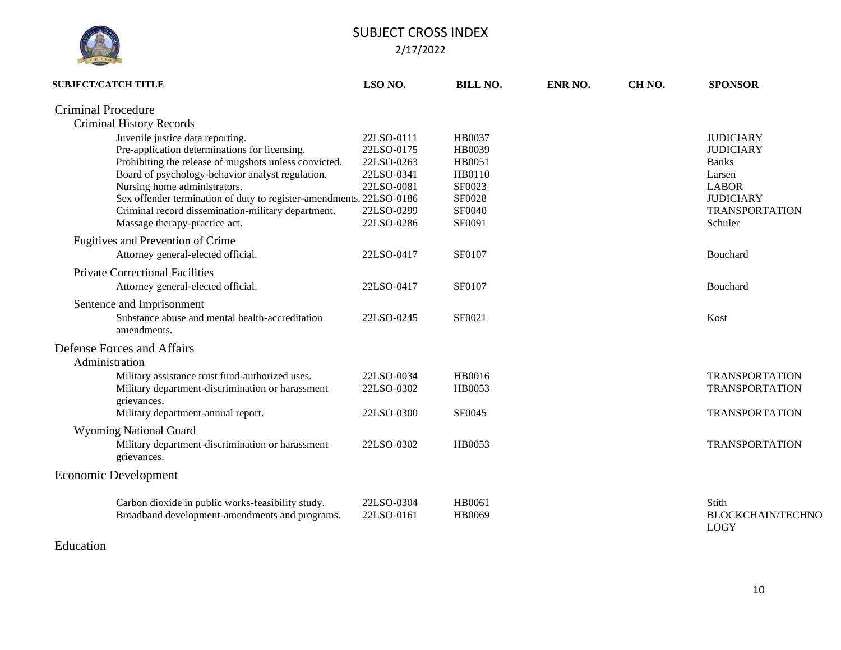

| <b>SUBJECT/CATCH TITLE</b>                                                                                                                                                                                                                                                                                                                                                                   | LSO <sub>NO</sub> .                                                                            | <b>BILL NO.</b>                                                                     | ENR NO. | CH <sub>NO</sub> . | <b>SPONSOR</b>                                                                                                                         |
|----------------------------------------------------------------------------------------------------------------------------------------------------------------------------------------------------------------------------------------------------------------------------------------------------------------------------------------------------------------------------------------------|------------------------------------------------------------------------------------------------|-------------------------------------------------------------------------------------|---------|--------------------|----------------------------------------------------------------------------------------------------------------------------------------|
| <b>Criminal Procedure</b>                                                                                                                                                                                                                                                                                                                                                                    |                                                                                                |                                                                                     |         |                    |                                                                                                                                        |
| <b>Criminal History Records</b>                                                                                                                                                                                                                                                                                                                                                              |                                                                                                |                                                                                     |         |                    |                                                                                                                                        |
| Juvenile justice data reporting.<br>Pre-application determinations for licensing.<br>Prohibiting the release of mugshots unless convicted.<br>Board of psychology-behavior analyst regulation.<br>Nursing home administrators.<br>Sex offender termination of duty to register-amendments. 22LSO-0186<br>Criminal record dissemination-military department.<br>Massage therapy-practice act. | 22LSO-0111<br>22LSO-0175<br>22LSO-0263<br>22LSO-0341<br>22LSO-0081<br>22LSO-0299<br>22LSO-0286 | HB0037<br>HB0039<br>HB0051<br>HB0110<br>SF0023<br>SF0028<br><b>SF0040</b><br>SF0091 |         |                    | <b>JUDICIARY</b><br><b>JUDICIARY</b><br><b>Banks</b><br>Larsen<br><b>LABOR</b><br><b>JUDICIARY</b><br><b>TRANSPORTATION</b><br>Schuler |
| Fugitives and Prevention of Crime<br>Attorney general-elected official.                                                                                                                                                                                                                                                                                                                      | 22LSO-0417                                                                                     | SF0107                                                                              |         |                    | Bouchard                                                                                                                               |
| <b>Private Correctional Facilities</b><br>Attorney general-elected official.                                                                                                                                                                                                                                                                                                                 | 22LSO-0417                                                                                     | SF0107                                                                              |         |                    | Bouchard                                                                                                                               |
| Sentence and Imprisonment<br>Substance abuse and mental health-accreditation<br>amendments.                                                                                                                                                                                                                                                                                                  | 22LSO-0245                                                                                     | SF0021                                                                              |         |                    | Kost                                                                                                                                   |
| Defense Forces and Affairs<br>Administration                                                                                                                                                                                                                                                                                                                                                 |                                                                                                |                                                                                     |         |                    |                                                                                                                                        |
| Military assistance trust fund-authorized uses.<br>Military department-discrimination or harassment<br>grievances.                                                                                                                                                                                                                                                                           | 22LSO-0034<br>22LSO-0302                                                                       | HB0016<br>HB0053                                                                    |         |                    | <b>TRANSPORTATION</b><br><b>TRANSPORTATION</b>                                                                                         |
| Military department-annual report.                                                                                                                                                                                                                                                                                                                                                           | 22LSO-0300                                                                                     | SF0045                                                                              |         |                    | <b>TRANSPORTATION</b>                                                                                                                  |
| <b>Wyoming National Guard</b>                                                                                                                                                                                                                                                                                                                                                                |                                                                                                |                                                                                     |         |                    |                                                                                                                                        |
| Military department-discrimination or harassment<br>grievances.                                                                                                                                                                                                                                                                                                                              | 22LSO-0302                                                                                     | HB0053                                                                              |         |                    | <b>TRANSPORTATION</b>                                                                                                                  |
| Economic Development                                                                                                                                                                                                                                                                                                                                                                         |                                                                                                |                                                                                     |         |                    |                                                                                                                                        |
| Carbon dioxide in public works-feasibility study.<br>Broadband development-amendments and programs.                                                                                                                                                                                                                                                                                          | 22LSO-0304<br>22LSO-0161                                                                       | HB0061<br>HB0069                                                                    |         |                    | Stith<br><b>BLOCKCHAIN/TECHNO</b><br><b>LOGY</b>                                                                                       |

### Education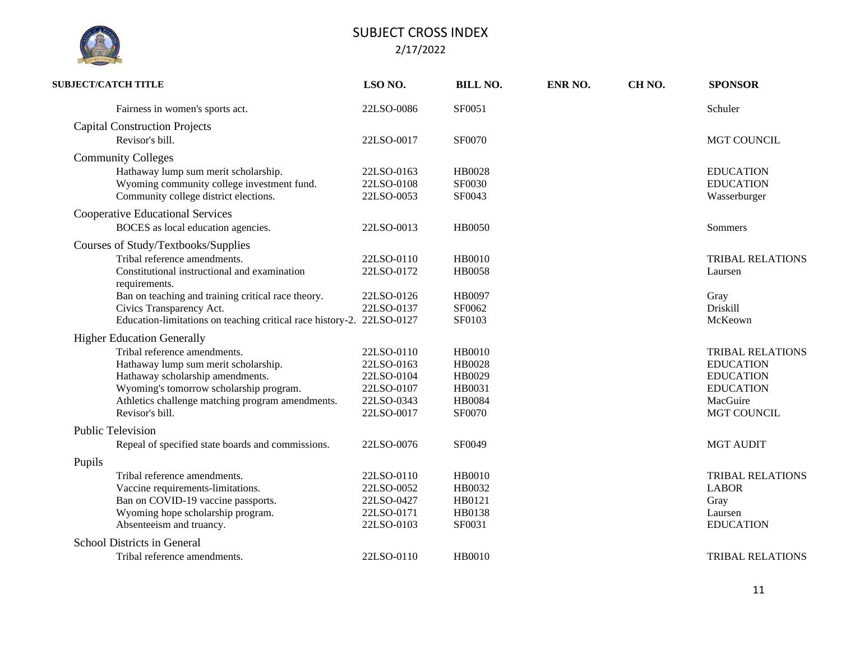|  | <b>ISLATURE</b> |  |
|--|-----------------|--|

| <b>SUBJECT/CATCH TITLE</b>                                            | LSO NO.    | <b>BILL NO.</b> | ENR NO. | CH <sub>NO</sub> . | <b>SPONSOR</b>          |
|-----------------------------------------------------------------------|------------|-----------------|---------|--------------------|-------------------------|
| Fairness in women's sports act.                                       | 22LSO-0086 | SF0051          |         |                    | Schuler                 |
| <b>Capital Construction Projects</b>                                  |            |                 |         |                    |                         |
| Revisor's bill.                                                       | 22LSO-0017 | SF0070          |         |                    | <b>MGT COUNCIL</b>      |
| <b>Community Colleges</b>                                             |            |                 |         |                    |                         |
| Hathaway lump sum merit scholarship.                                  | 22LSO-0163 | <b>HB0028</b>   |         |                    | <b>EDUCATION</b>        |
| Wyoming community college investment fund.                            | 22LSO-0108 | SF0030          |         |                    | <b>EDUCATION</b>        |
| Community college district elections.                                 | 22LSO-0053 | SF0043          |         |                    | Wasserburger            |
| <b>Cooperative Educational Services</b>                               |            |                 |         |                    |                         |
| BOCES as local education agencies.                                    | 22LSO-0013 | <b>HB0050</b>   |         |                    | Sommers                 |
| Courses of Study/Textbooks/Supplies                                   |            |                 |         |                    |                         |
| Tribal reference amendments.                                          | 22LSO-0110 | HB0010          |         |                    | <b>TRIBAL RELATIONS</b> |
| Constitutional instructional and examination<br>requirements.         | 22LSO-0172 | <b>HB0058</b>   |         |                    | Laursen                 |
| Ban on teaching and training critical race theory.                    | 22LSO-0126 | HB0097          |         |                    | Gray                    |
| Civics Transparency Act.                                              | 22LSO-0137 | SF0062          |         |                    | Driskill                |
| Education-limitations on teaching critical race history-2. 22LSO-0127 |            | SF0103          |         |                    | McKeown                 |
| <b>Higher Education Generally</b>                                     |            |                 |         |                    |                         |
| Tribal reference amendments.                                          | 22LSO-0110 | <b>HB0010</b>   |         |                    | <b>TRIBAL RELATIONS</b> |
| Hathaway lump sum merit scholarship.                                  | 22LSO-0163 | HB0028          |         |                    | <b>EDUCATION</b>        |
| Hathaway scholarship amendments.                                      | 22LSO-0104 | HB0029          |         |                    | <b>EDUCATION</b>        |
| Wyoming's tomorrow scholarship program.                               | 22LSO-0107 | HB0031          |         |                    | <b>EDUCATION</b>        |
| Athletics challenge matching program amendments.                      | 22LSO-0343 | HB0084          |         |                    | MacGuire                |
| Revisor's bill.                                                       | 22LSO-0017 | SF0070          |         |                    | <b>MGT COUNCIL</b>      |
| <b>Public Television</b>                                              |            |                 |         |                    |                         |
| Repeal of specified state boards and commissions.                     | 22LSO-0076 | SF0049          |         |                    | <b>MGT AUDIT</b>        |
| Pupils                                                                |            |                 |         |                    |                         |
| Tribal reference amendments.                                          | 22LSO-0110 | <b>HB0010</b>   |         |                    | <b>TRIBAL RELATIONS</b> |
| Vaccine requirements-limitations.                                     | 22LSO-0052 | HB0032          |         |                    | <b>LABOR</b>            |
| Ban on COVID-19 vaccine passports.                                    | 22LSO-0427 | HB0121          |         |                    | Gray                    |
| Wyoming hope scholarship program.                                     | 22LSO-0171 | HB0138          |         |                    | Laursen                 |
| Absenteeism and truancy.                                              | 22LSO-0103 | SF0031          |         |                    | <b>EDUCATION</b>        |
| School Districts in General                                           |            |                 |         |                    |                         |
| Tribal reference amendments.                                          | 22LSO-0110 | <b>HB0010</b>   |         |                    | <b>TRIBAL RELATIONS</b> |
|                                                                       |            |                 |         |                    |                         |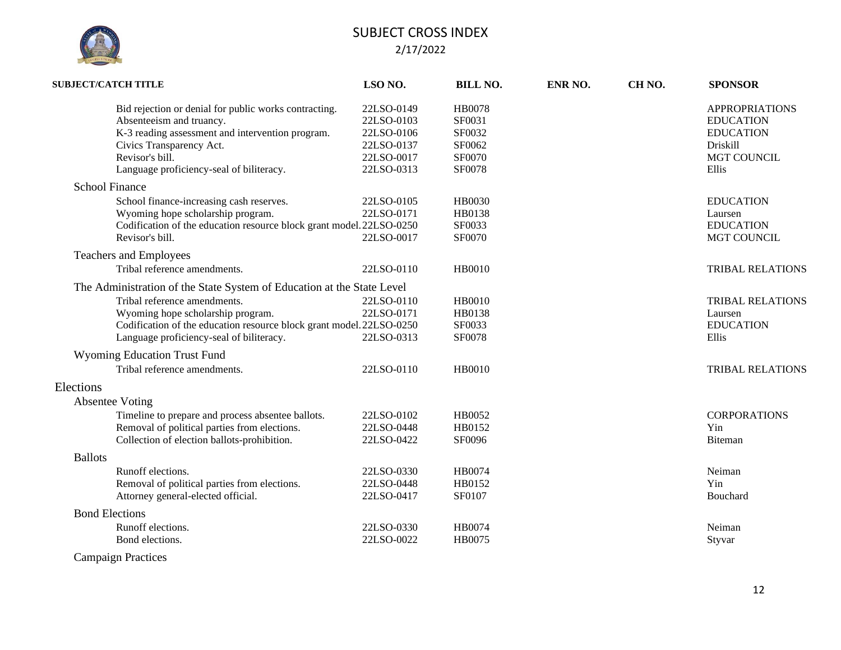

| <b>SUBJECT/CATCH TITLE</b>                                                                                                                                                                                                       | LSO NO.                                                                          | <b>BILL NO.</b>                                                 | ENR NO. | CH <sub>NO</sub> . | <b>SPONSOR</b>                                                                                           |
|----------------------------------------------------------------------------------------------------------------------------------------------------------------------------------------------------------------------------------|----------------------------------------------------------------------------------|-----------------------------------------------------------------|---------|--------------------|----------------------------------------------------------------------------------------------------------|
| Bid rejection or denial for public works contracting.<br>Absenteeism and truancy.<br>K-3 reading assessment and intervention program.<br>Civics Transparency Act.<br>Revisor's bill.<br>Language proficiency-seal of biliteracy. | 22LSO-0149<br>22LSO-0103<br>22LSO-0106<br>22LSO-0137<br>22LSO-0017<br>22LSO-0313 | <b>HB0078</b><br>SF0031<br>SF0032<br>SF0062<br>SF0070<br>SF0078 |         |                    | <b>APPROPRIATIONS</b><br><b>EDUCATION</b><br><b>EDUCATION</b><br>Driskill<br><b>MGT COUNCIL</b><br>Ellis |
| <b>School Finance</b>                                                                                                                                                                                                            |                                                                                  |                                                                 |         |                    |                                                                                                          |
| School finance-increasing cash reserves.<br>Wyoming hope scholarship program.<br>Codification of the education resource block grant model. 22LSO-0250<br>Revisor's bill.                                                         | 22LSO-0105<br>22LSO-0171<br>22LSO-0017                                           | <b>HB0030</b><br>HB0138<br>SF0033<br>SF0070                     |         |                    | <b>EDUCATION</b><br>Laursen<br><b>EDUCATION</b><br>MGT COUNCIL                                           |
| Teachers and Employees                                                                                                                                                                                                           |                                                                                  |                                                                 |         |                    |                                                                                                          |
| Tribal reference amendments.                                                                                                                                                                                                     | 22LSO-0110                                                                       | <b>HB0010</b>                                                   |         |                    | <b>TRIBAL RELATIONS</b>                                                                                  |
| The Administration of the State System of Education at the State Level<br>Tribal reference amendments.<br>Wyoming hope scholarship program.<br>Codification of the education resource block grant model. 22LSO-0250              | 22LSO-0110<br>22LSO-0171                                                         | HB0010<br>HB0138<br>SF0033                                      |         |                    | <b>TRIBAL RELATIONS</b><br>Laursen<br><b>EDUCATION</b>                                                   |
| Language proficiency-seal of biliteracy.                                                                                                                                                                                         | 22LSO-0313                                                                       | SF0078                                                          |         |                    | Ellis                                                                                                    |
| <b>Wyoming Education Trust Fund</b><br>Tribal reference amendments.                                                                                                                                                              | 22LSO-0110                                                                       | <b>HB0010</b>                                                   |         |                    | <b>TRIBAL RELATIONS</b>                                                                                  |
| Elections<br><b>Absentee Voting</b>                                                                                                                                                                                              |                                                                                  |                                                                 |         |                    |                                                                                                          |
| Timeline to prepare and process absentee ballots.<br>Removal of political parties from elections.<br>Collection of election ballots-prohibition.                                                                                 | 22LSO-0102<br>22LSO-0448<br>22LSO-0422                                           | HB0052<br>HB0152<br>SF0096                                      |         |                    | <b>CORPORATIONS</b><br>Yin<br>Biteman                                                                    |
| <b>Ballots</b>                                                                                                                                                                                                                   |                                                                                  |                                                                 |         |                    |                                                                                                          |
| Runoff elections.<br>Removal of political parties from elections.<br>Attorney general-elected official.                                                                                                                          | 22LSO-0330<br>22LSO-0448<br>22LSO-0417                                           | HB0074<br>HB0152<br>SF0107                                      |         |                    | Neiman<br>Yin<br>Bouchard                                                                                |
| <b>Bond Elections</b>                                                                                                                                                                                                            |                                                                                  |                                                                 |         |                    |                                                                                                          |
| Runoff elections.<br>Bond elections.                                                                                                                                                                                             | 22LSO-0330<br>22LSO-0022                                                         | HB0074<br>HB0075                                                |         |                    | Neiman<br>Styvar                                                                                         |
| <b>Campaign Practices</b>                                                                                                                                                                                                        |                                                                                  |                                                                 |         |                    |                                                                                                          |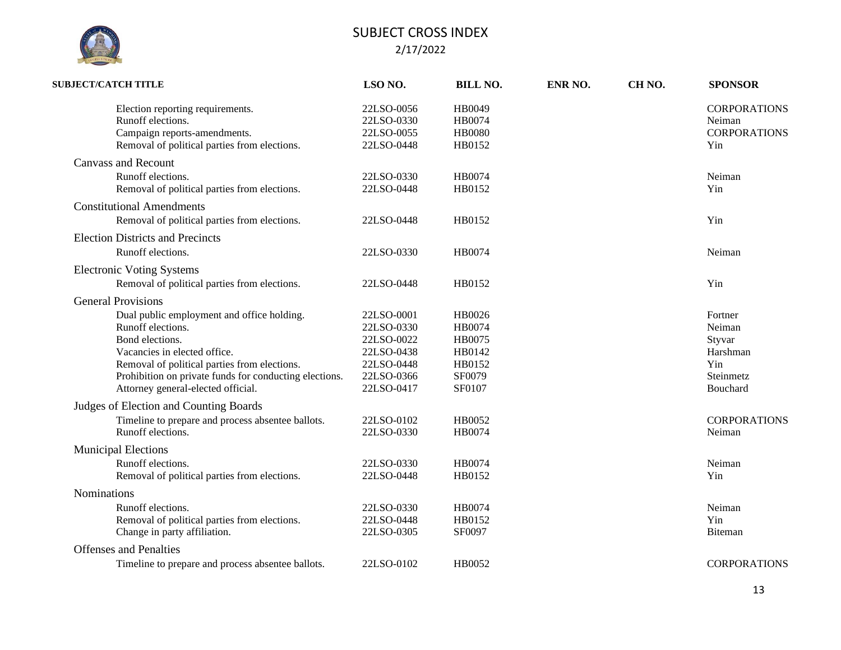

| <b>SUBJECT/CATCH TITLE</b>                                                                                                                                                                                                                                                                      | LSO <sub>NO.</sub>                                                                             | <b>BILL NO.</b>                                                    | ENR NO. | CH <sub>NO</sub> . | <b>SPONSOR</b>                                                          |
|-------------------------------------------------------------------------------------------------------------------------------------------------------------------------------------------------------------------------------------------------------------------------------------------------|------------------------------------------------------------------------------------------------|--------------------------------------------------------------------|---------|--------------------|-------------------------------------------------------------------------|
| Election reporting requirements.<br>Runoff elections.<br>Campaign reports-amendments.<br>Removal of political parties from elections.                                                                                                                                                           | 22LSO-0056<br>22LSO-0330<br>22LSO-0055<br>22LSO-0448                                           | HB0049<br>HB0074<br><b>HB0080</b><br>HB0152                        |         |                    | <b>CORPORATIONS</b><br>Neiman<br><b>CORPORATIONS</b><br>Yin             |
| <b>Canvass and Recount</b><br>Runoff elections.<br>Removal of political parties from elections.                                                                                                                                                                                                 | 22LSO-0330<br>22LSO-0448                                                                       | HB0074<br>HB0152                                                   |         |                    | Neiman<br>Yin                                                           |
| <b>Constitutional Amendments</b><br>Removal of political parties from elections.                                                                                                                                                                                                                | 22LSO-0448                                                                                     | HB0152                                                             |         |                    | Yin                                                                     |
| <b>Election Districts and Precincts</b><br>Runoff elections.                                                                                                                                                                                                                                    | 22LSO-0330                                                                                     | HB0074                                                             |         |                    | Neiman                                                                  |
| <b>Electronic Voting Systems</b><br>Removal of political parties from elections.                                                                                                                                                                                                                | 22LSO-0448                                                                                     | HB0152                                                             |         |                    | Yin                                                                     |
| <b>General Provisions</b><br>Dual public employment and office holding.<br>Runoff elections.<br>Bond elections.<br>Vacancies in elected office.<br>Removal of political parties from elections.<br>Prohibition on private funds for conducting elections.<br>Attorney general-elected official. | 22LSO-0001<br>22LSO-0330<br>22LSO-0022<br>22LSO-0438<br>22LSO-0448<br>22LSO-0366<br>22LSO-0417 | HB0026<br>HB0074<br>HB0075<br>HB0142<br>HB0152<br>SF0079<br>SF0107 |         |                    | Fortner<br>Neiman<br>Styvar<br>Harshman<br>Yin<br>Steinmetz<br>Bouchard |
| Judges of Election and Counting Boards<br>Timeline to prepare and process absentee ballots.<br>Runoff elections.                                                                                                                                                                                | 22LSO-0102<br>22LSO-0330                                                                       | HB0052<br>HB0074                                                   |         |                    | <b>CORPORATIONS</b><br>Neiman                                           |
| <b>Municipal Elections</b><br>Runoff elections.<br>Removal of political parties from elections.                                                                                                                                                                                                 | 22LSO-0330<br>22LSO-0448                                                                       | HB0074<br>HB0152                                                   |         |                    | Neiman<br>Yin                                                           |
| Nominations<br>Runoff elections.<br>Removal of political parties from elections.<br>Change in party affiliation.                                                                                                                                                                                | 22LSO-0330<br>22LSO-0448<br>22LSO-0305                                                         | HB0074<br>HB0152<br>SF0097                                         |         |                    | Neiman<br>Yin<br>Biteman                                                |
| <b>Offenses</b> and Penalties<br>Timeline to prepare and process absentee ballots.                                                                                                                                                                                                              | 22LSO-0102                                                                                     | HB0052                                                             |         |                    | <b>CORPORATIONS</b>                                                     |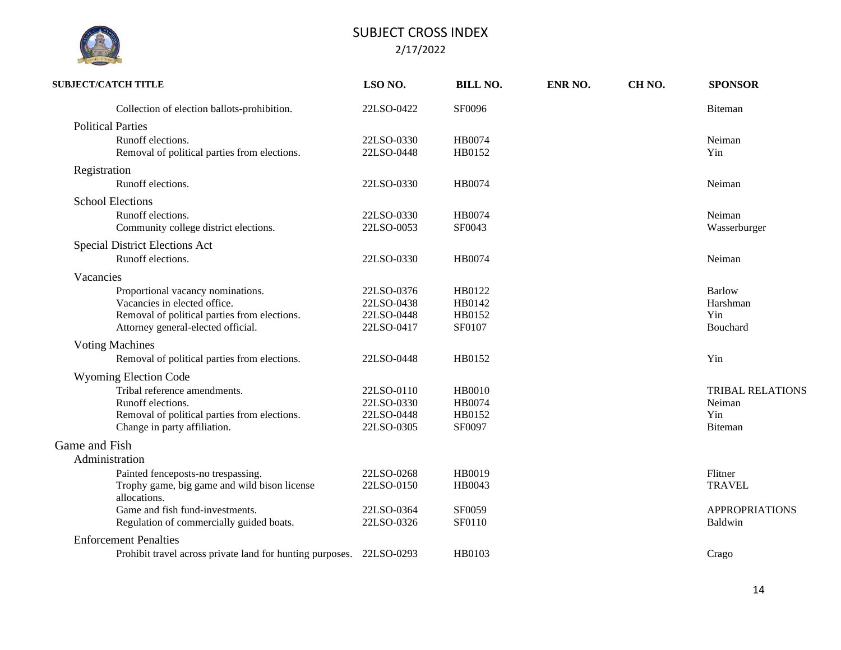|               | <b>SUBJECT/CATCH TITLE</b>                                           | LSO NO.    | <b>BILL NO.</b> | ENR NO. | CH <sub>NO</sub> . | <b>SPONSOR</b>          |
|---------------|----------------------------------------------------------------------|------------|-----------------|---------|--------------------|-------------------------|
|               | Collection of election ballots-prohibition.                          | 22LSO-0422 | <b>SF0096</b>   |         |                    | Biteman                 |
|               | <b>Political Parties</b>                                             |            |                 |         |                    |                         |
|               | Runoff elections.                                                    | 22LSO-0330 | HB0074          |         |                    | Neiman                  |
|               | Removal of political parties from elections.                         | 22LSO-0448 | HB0152          |         |                    | Yin                     |
|               | Registration                                                         |            |                 |         |                    |                         |
|               | Runoff elections.                                                    | 22LSO-0330 | HB0074          |         |                    | Neiman                  |
|               | <b>School Elections</b>                                              |            |                 |         |                    |                         |
|               | Runoff elections.                                                    | 22LSO-0330 | HB0074          |         |                    | Neiman                  |
|               | Community college district elections.                                | 22LSO-0053 | SF0043          |         |                    | Wasserburger            |
|               | <b>Special District Elections Act</b>                                |            |                 |         |                    |                         |
|               | Runoff elections.                                                    | 22LSO-0330 | HB0074          |         |                    | Neiman                  |
|               | Vacancies                                                            |            |                 |         |                    |                         |
|               | Proportional vacancy nominations.                                    | 22LSO-0376 | HB0122          |         |                    | <b>Barlow</b>           |
|               | Vacancies in elected office.                                         | 22LSO-0438 | HB0142          |         |                    | Harshman                |
|               | Removal of political parties from elections.                         | 22LSO-0448 | HB0152          |         |                    | Yin                     |
|               | Attorney general-elected official.                                   | 22LSO-0417 | SF0107          |         |                    | Bouchard                |
|               | <b>Voting Machines</b>                                               |            |                 |         |                    |                         |
|               | Removal of political parties from elections.                         | 22LSO-0448 | HB0152          |         |                    | Yin                     |
|               | <b>Wyoming Election Code</b>                                         |            |                 |         |                    |                         |
|               | Tribal reference amendments.                                         | 22LSO-0110 | HB0010          |         |                    | <b>TRIBAL RELATIONS</b> |
|               | Runoff elections.                                                    | 22LSO-0330 | <b>HB0074</b>   |         |                    | Neiman                  |
|               | Removal of political parties from elections.                         | 22LSO-0448 | HB0152          |         |                    | Yin                     |
|               | Change in party affiliation.                                         | 22LSO-0305 | SF0097          |         |                    | Biteman                 |
| Game and Fish |                                                                      |            |                 |         |                    |                         |
|               | Administration                                                       |            |                 |         |                    |                         |
|               | Painted fenceposts-no trespassing.                                   | 22LSO-0268 | HB0019          |         |                    | Flitner                 |
|               | Trophy game, big game and wild bison license<br>allocations.         | 22LSO-0150 | HB0043          |         |                    | <b>TRAVEL</b>           |
|               | Game and fish fund-investments.                                      | 22LSO-0364 | SF0059          |         |                    | <b>APPROPRIATIONS</b>   |
|               | Regulation of commercially guided boats.                             | 22LSO-0326 | <b>SF0110</b>   |         |                    | Baldwin                 |
|               | <b>Enforcement Penalties</b>                                         |            |                 |         |                    |                         |
|               | Prohibit travel across private land for hunting purposes. 22LSO-0293 |            | HB0103          |         |                    | Crago                   |
|               |                                                                      |            |                 |         |                    |                         |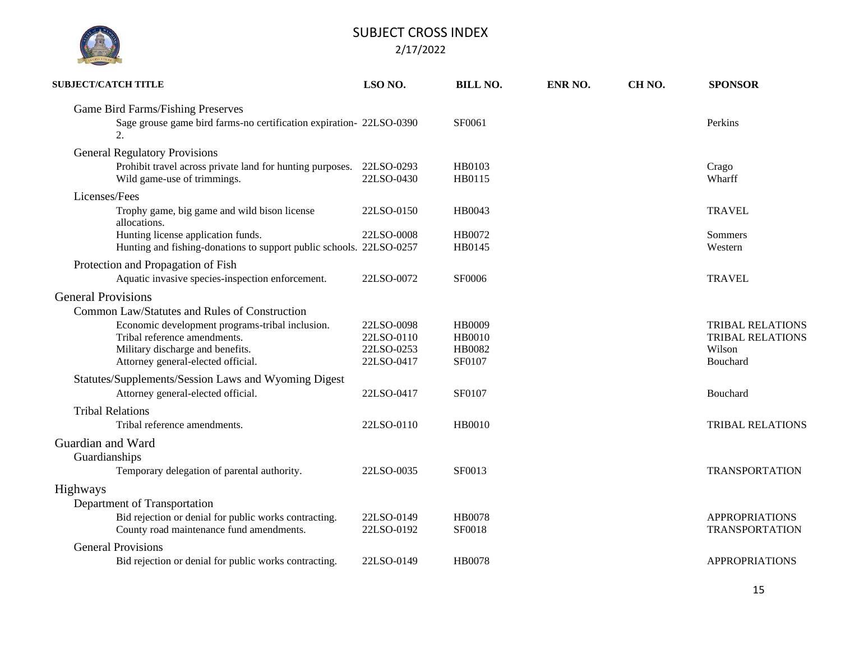| <b>SUBJECT/CATCH TITLE</b>                                                                                                       | LSO <sub>NO.</sub>                     | <b>BILL NO.</b>                   | ENR NO. | CH <sub>NO</sub> . | <b>SPONSOR</b>                                |
|----------------------------------------------------------------------------------------------------------------------------------|----------------------------------------|-----------------------------------|---------|--------------------|-----------------------------------------------|
| Game Bird Farms/Fishing Preserves<br>Sage grouse game bird farms-no certification expiration- 22LSO-0390<br>2.                   |                                        | SF0061                            |         |                    | Perkins                                       |
| <b>General Regulatory Provisions</b><br>Prohibit travel across private land for hunting purposes.<br>Wild game-use of trimmings. | 22LSO-0293<br>22LSO-0430               | HB0103<br>HB0115                  |         |                    | Crago<br>Wharff                               |
| Licenses/Fees<br>Trophy game, big game and wild bison license<br>allocations.                                                    | 22LSO-0150                             | HB0043                            |         |                    | <b>TRAVEL</b>                                 |
| Hunting license application funds.<br>Hunting and fishing-donations to support public schools. 22LSO-0257                        | 22LSO-0008                             | HB0072<br>HB0145                  |         |                    | Sommers<br>Western                            |
| Protection and Propagation of Fish<br>Aquatic invasive species-inspection enforcement.                                           | 22LSO-0072                             | <b>SF0006</b>                     |         |                    | <b>TRAVEL</b>                                 |
| <b>General Provisions</b><br>Common Law/Statutes and Rules of Construction<br>Economic development programs-tribal inclusion.    | 22LSO-0098                             | HB0009                            |         |                    | <b>TRIBAL RELATIONS</b>                       |
| Tribal reference amendments.<br>Military discharge and benefits.<br>Attorney general-elected official.                           | 22LSO-0110<br>22LSO-0253<br>22LSO-0417 | <b>HB0010</b><br>HB0082<br>SF0107 |         |                    | <b>TRIBAL RELATIONS</b><br>Wilson<br>Bouchard |
| Statutes/Supplements/Session Laws and Wyoming Digest<br>Attorney general-elected official.                                       | 22LSO-0417                             | SF0107                            |         |                    | Bouchard                                      |
| <b>Tribal Relations</b><br>Tribal reference amendments.                                                                          | 22LSO-0110                             | HB0010                            |         |                    | <b>TRIBAL RELATIONS</b>                       |
| Guardian and Ward<br>Guardianships                                                                                               |                                        |                                   |         |                    |                                               |
| Temporary delegation of parental authority.                                                                                      | 22LSO-0035                             | SF0013                            |         |                    | <b>TRANSPORTATION</b>                         |
| <b>Highways</b><br>Department of Transportation<br>Bid rejection or denial for public works contracting.                         | 22LSO-0149                             | <b>HB0078</b>                     |         |                    | <b>APPROPRIATIONS</b>                         |
| County road maintenance fund amendments.                                                                                         | 22LSO-0192                             | SF0018                            |         |                    | <b>TRANSPORTATION</b>                         |
| <b>General Provisions</b><br>Bid rejection or denial for public works contracting.                                               | 22LSO-0149                             | <b>HB0078</b>                     |         |                    | <b>APPROPRIATIONS</b>                         |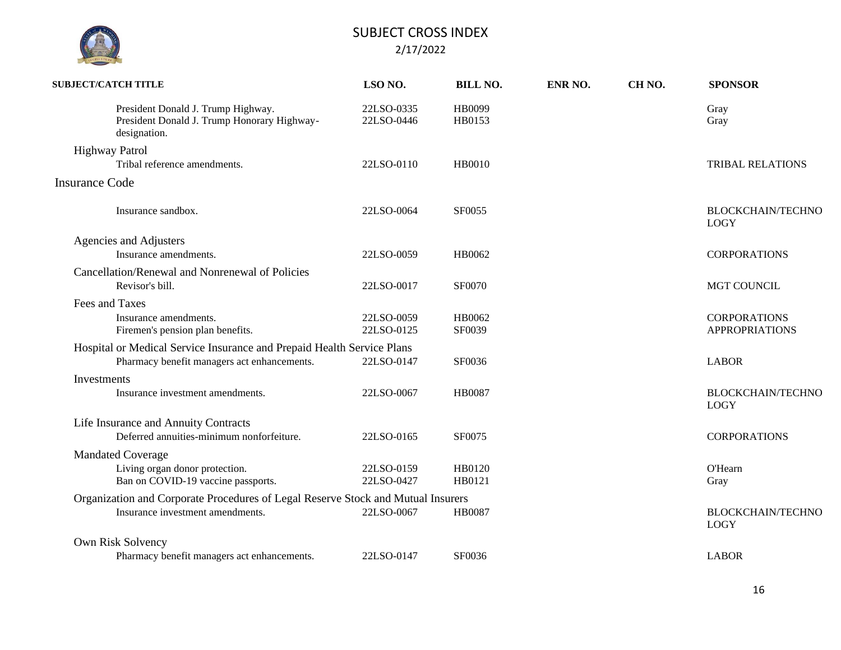| <b>SUBJECT/CATCH TITLE</b> |                                                                                                   | LSO NO.                  | <b>BILL NO.</b>  | ENR NO. | CH <sub>NO</sub> . | <b>SPONSOR</b>                               |
|----------------------------|---------------------------------------------------------------------------------------------------|--------------------------|------------------|---------|--------------------|----------------------------------------------|
|                            | President Donald J. Trump Highway.<br>President Donald J. Trump Honorary Highway-<br>designation. | 22LSO-0335<br>22LSO-0446 | HB0099<br>HB0153 |         |                    | Gray<br>Gray                                 |
| <b>Highway Patrol</b>      |                                                                                                   |                          |                  |         |                    |                                              |
|                            | Tribal reference amendments.                                                                      | 22LSO-0110               | HB0010           |         |                    | <b>TRIBAL RELATIONS</b>                      |
| <b>Insurance Code</b>      |                                                                                                   |                          |                  |         |                    |                                              |
|                            | Insurance sandbox.                                                                                | 22LSO-0064               | <b>SF0055</b>    |         |                    | <b>BLOCKCHAIN/TECHNO</b><br><b>LOGY</b>      |
| Agencies and Adjusters     |                                                                                                   |                          |                  |         |                    |                                              |
|                            | Insurance amendments.                                                                             | 22LSO-0059               | HB0062           |         |                    | <b>CORPORATIONS</b>                          |
|                            | Cancellation/Renewal and Nonrenewal of Policies<br>Revisor's bill.                                | 22LSO-0017               | SF0070           |         |                    | MGT COUNCIL                                  |
| Fees and Taxes             |                                                                                                   |                          |                  |         |                    |                                              |
|                            | Insurance amendments.<br>Firemen's pension plan benefits.                                         | 22LSO-0059<br>22LSO-0125 | HB0062<br>SF0039 |         |                    | <b>CORPORATIONS</b><br><b>APPROPRIATIONS</b> |
|                            | Hospital or Medical Service Insurance and Prepaid Health Service Plans                            |                          |                  |         |                    |                                              |
|                            | Pharmacy benefit managers act enhancements.                                                       | 22LSO-0147               | SF0036           |         |                    | <b>LABOR</b>                                 |
| Investments                |                                                                                                   |                          |                  |         |                    |                                              |
|                            | Insurance investment amendments.                                                                  | 22LSO-0067               | <b>HB0087</b>    |         |                    | <b>BLOCKCHAIN/TECHNO</b><br><b>LOGY</b>      |
|                            | Life Insurance and Annuity Contracts                                                              |                          |                  |         |                    |                                              |
|                            | Deferred annuities-minimum nonforfeiture.                                                         | 22LSO-0165               | SF0075           |         |                    | <b>CORPORATIONS</b>                          |
| <b>Mandated Coverage</b>   |                                                                                                   |                          |                  |         |                    |                                              |
|                            | Living organ donor protection.                                                                    | 22LSO-0159               | HB0120           |         |                    | <b>O'Hearn</b>                               |
|                            | Ban on COVID-19 vaccine passports.                                                                | 22LSO-0427               | HB0121           |         |                    | Gray                                         |
|                            | Organization and Corporate Procedures of Legal Reserve Stock and Mutual Insurers                  |                          |                  |         |                    |                                              |
|                            | Insurance investment amendments.                                                                  | 22LSO-0067               | <b>HB0087</b>    |         |                    | <b>BLOCKCHAIN/TECHNO</b><br><b>LOGY</b>      |
| Own Risk Solvency          |                                                                                                   |                          |                  |         |                    |                                              |
|                            | Pharmacy benefit managers act enhancements.                                                       | 22LSO-0147               | SF0036           |         |                    | <b>LABOR</b>                                 |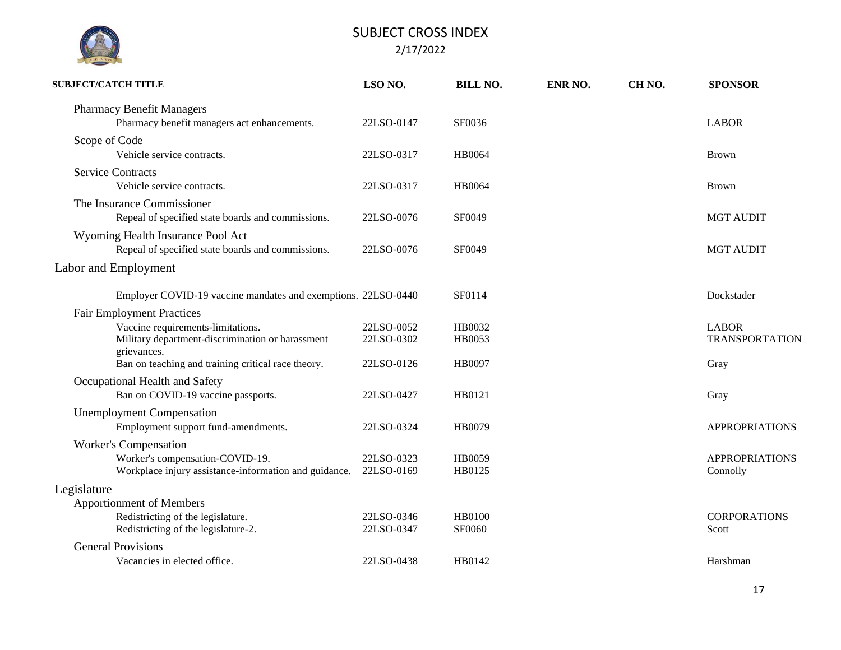

| <b>SUBJECT/CATCH TITLE</b>                                                                                                                                                                     | LSO <sub>NO.</sub>                     | <b>BILL NO.</b>            | ENR NO. | CH <sub>NO</sub> . | <b>SPONSOR</b>                                |
|------------------------------------------------------------------------------------------------------------------------------------------------------------------------------------------------|----------------------------------------|----------------------------|---------|--------------------|-----------------------------------------------|
| <b>Pharmacy Benefit Managers</b><br>Pharmacy benefit managers act enhancements.                                                                                                                | 22LSO-0147                             | SF0036                     |         |                    | <b>LABOR</b>                                  |
| Scope of Code<br>Vehicle service contracts.                                                                                                                                                    | 22LSO-0317                             | <b>HB0064</b>              |         |                    | <b>Brown</b>                                  |
| <b>Service Contracts</b><br>Vehicle service contracts.                                                                                                                                         | 22LSO-0317                             | HB0064                     |         |                    | <b>Brown</b>                                  |
| The Insurance Commissioner<br>Repeal of specified state boards and commissions.                                                                                                                | 22LSO-0076                             | SF0049                     |         |                    | <b>MGT AUDIT</b>                              |
| Wyoming Health Insurance Pool Act<br>Repeal of specified state boards and commissions.                                                                                                         | 22LSO-0076                             | SF0049                     |         |                    | <b>MGT AUDIT</b>                              |
| Labor and Employment                                                                                                                                                                           |                                        |                            |         |                    |                                               |
| Employer COVID-19 vaccine mandates and exemptions. 22LSO-0440                                                                                                                                  |                                        | SF0114                     |         |                    | Dockstader                                    |
| <b>Fair Employment Practices</b><br>Vaccine requirements-limitations.<br>Military department-discrimination or harassment<br>grievances.<br>Ban on teaching and training critical race theory. | 22LSO-0052<br>22LSO-0302<br>22LSO-0126 | HB0032<br>HB0053<br>HB0097 |         |                    | <b>LABOR</b><br><b>TRANSPORTATION</b><br>Gray |
| Occupational Health and Safety<br>Ban on COVID-19 vaccine passports.                                                                                                                           | 22LSO-0427                             | HB0121                     |         |                    | Gray                                          |
| <b>Unemployment Compensation</b><br>Employment support fund-amendments.                                                                                                                        | 22LSO-0324                             | HB0079                     |         |                    | <b>APPROPRIATIONS</b>                         |
| <b>Worker's Compensation</b><br>Worker's compensation-COVID-19.<br>Workplace injury assistance-information and guidance.                                                                       | 22LSO-0323<br>22LSO-0169               | HB0059<br>HB0125           |         |                    | <b>APPROPRIATIONS</b><br>Connolly             |
| Legislature<br><b>Apportionment of Members</b><br>Redistricting of the legislature.<br>Redistricting of the legislature-2.                                                                     | 22LSO-0346<br>22LSO-0347               | <b>HB0100</b><br>SF0060    |         |                    | <b>CORPORATIONS</b><br>Scott                  |
| <b>General Provisions</b><br>Vacancies in elected office.                                                                                                                                      | 22LSO-0438                             | HB0142                     |         |                    | Harshman                                      |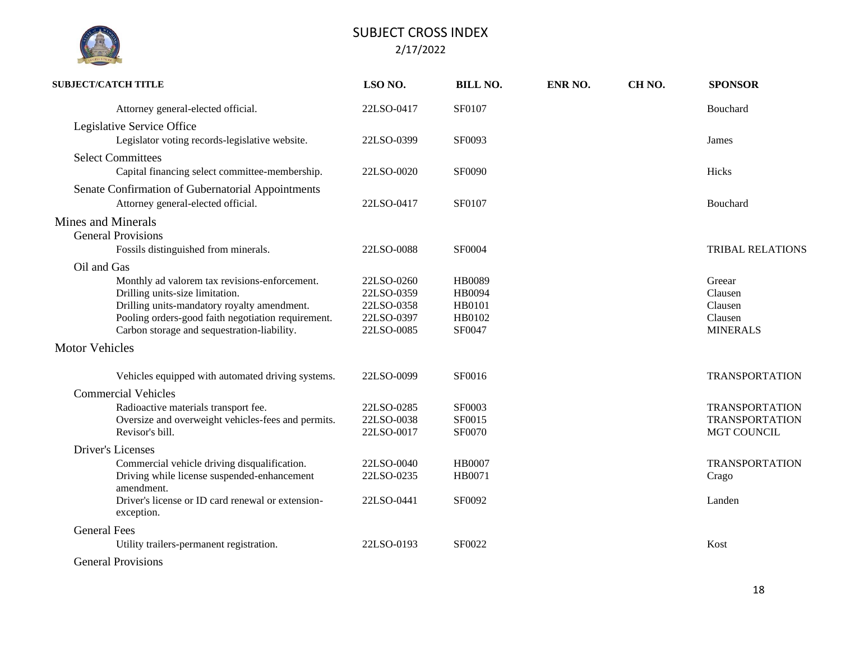| <b>SUBJECT/CATCH TITLE</b>                                                                                                                                                                                                           | LSO NO.                                                            | <b>BILL NO.</b>                                              | ENR NO. | CH <sub>NO</sub> . | <b>SPONSOR</b>                                                |
|--------------------------------------------------------------------------------------------------------------------------------------------------------------------------------------------------------------------------------------|--------------------------------------------------------------------|--------------------------------------------------------------|---------|--------------------|---------------------------------------------------------------|
| Attorney general-elected official.                                                                                                                                                                                                   | 22LSO-0417                                                         | SF0107                                                       |         |                    | Bouchard                                                      |
| Legislative Service Office<br>Legislator voting records-legislative website.                                                                                                                                                         | 22LSO-0399                                                         | SF0093                                                       |         |                    | James                                                         |
| <b>Select Committees</b><br>Capital financing select committee-membership.                                                                                                                                                           | 22LSO-0020                                                         | SF0090                                                       |         |                    | Hicks                                                         |
| Senate Confirmation of Gubernatorial Appointments<br>Attorney general-elected official.                                                                                                                                              | 22LSO-0417                                                         | SF0107                                                       |         |                    | Bouchard                                                      |
| <b>Mines and Minerals</b><br><b>General Provisions</b>                                                                                                                                                                               |                                                                    |                                                              |         |                    |                                                               |
| Fossils distinguished from minerals.                                                                                                                                                                                                 | 22LSO-0088                                                         | SF0004                                                       |         |                    | <b>TRIBAL RELATIONS</b>                                       |
| Oil and Gas                                                                                                                                                                                                                          |                                                                    |                                                              |         |                    |                                                               |
| Monthly ad valorem tax revisions-enforcement.<br>Drilling units-size limitation.<br>Drilling units-mandatory royalty amendment.<br>Pooling orders-good faith negotiation requirement.<br>Carbon storage and sequestration-liability. | 22LSO-0260<br>22LSO-0359<br>22LSO-0358<br>22LSO-0397<br>22LSO-0085 | <b>HB0089</b><br><b>HB0094</b><br>HB0101<br>HB0102<br>SF0047 |         |                    | Greear<br>Clausen<br>Clausen<br>Clausen<br><b>MINERALS</b>    |
| <b>Motor Vehicles</b>                                                                                                                                                                                                                |                                                                    |                                                              |         |                    |                                                               |
| Vehicles equipped with automated driving systems.                                                                                                                                                                                    | 22LSO-0099                                                         | SF0016                                                       |         |                    | <b>TRANSPORTATION</b>                                         |
|                                                                                                                                                                                                                                      |                                                                    |                                                              |         |                    |                                                               |
| <b>Commercial Vehicles</b><br>Radioactive materials transport fee.<br>Oversize and overweight vehicles-fees and permits.<br>Revisor's bill.                                                                                          | 22LSO-0285<br>22LSO-0038<br>22LSO-0017                             | SF0003<br>SF0015<br>SF0070                                   |         |                    | <b>TRANSPORTATION</b><br><b>TRANSPORTATION</b><br>MGT COUNCIL |
| Driver's Licenses                                                                                                                                                                                                                    |                                                                    |                                                              |         |                    |                                                               |
| Commercial vehicle driving disqualification.<br>Driving while license suspended-enhancement<br>amendment.                                                                                                                            | 22LSO-0040<br>22LSO-0235                                           | <b>HB0007</b><br>HB0071                                      |         |                    | <b>TRANSPORTATION</b><br>Crago                                |
| Driver's license or ID card renewal or extension-<br>exception.                                                                                                                                                                      | 22LSO-0441                                                         | SF0092                                                       |         |                    | Landen                                                        |
| <b>General Fees</b>                                                                                                                                                                                                                  |                                                                    |                                                              |         |                    |                                                               |
| Utility trailers-permanent registration.                                                                                                                                                                                             | 22LSO-0193                                                         | SF0022                                                       |         |                    | Kost                                                          |
| <b>General Provisions</b>                                                                                                                                                                                                            |                                                                    |                                                              |         |                    |                                                               |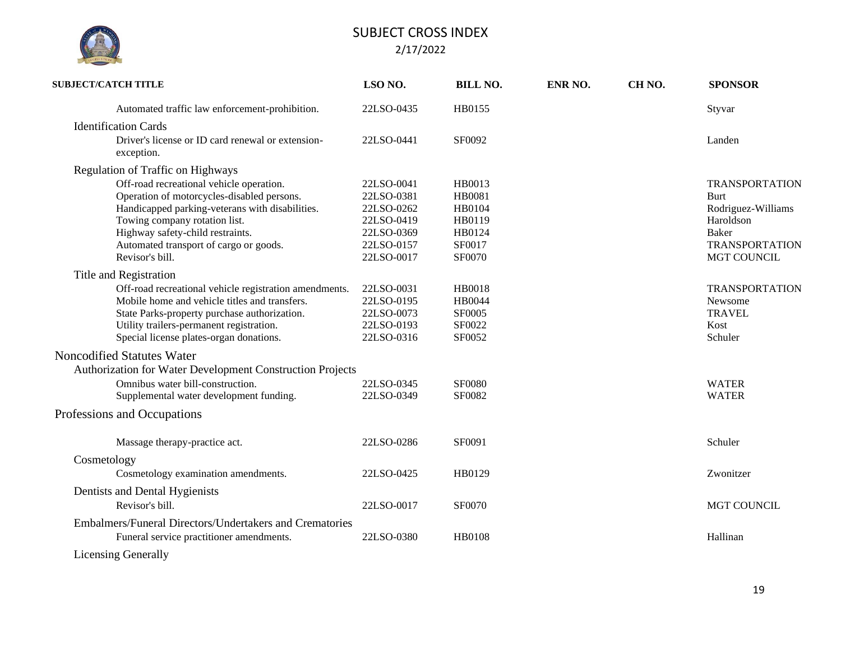

| <b>SUBJECT/CATCH TITLE</b>                                      | LSO NO.    | <b>BILL NO.</b> | ENR NO. | CH <sub>NO</sub> . | <b>SPONSOR</b>        |
|-----------------------------------------------------------------|------------|-----------------|---------|--------------------|-----------------------|
| Automated traffic law enforcement-prohibition.                  | 22LSO-0435 | HB0155          |         |                    | Styvar                |
| <b>Identification Cards</b>                                     |            |                 |         |                    |                       |
| Driver's license or ID card renewal or extension-<br>exception. | 22LSO-0441 | SF0092          |         |                    | Landen                |
| Regulation of Traffic on Highways                               |            |                 |         |                    |                       |
| Off-road recreational vehicle operation.                        | 22LSO-0041 | HB0013          |         |                    | <b>TRANSPORTATION</b> |
| Operation of motorcycles-disabled persons.                      | 22LSO-0381 | HB0081          |         |                    | <b>Burt</b>           |
| Handicapped parking-veterans with disabilities.                 | 22LSO-0262 | HB0104          |         |                    | Rodriguez-Williams    |
| Towing company rotation list.                                   | 22LSO-0419 | HB0119          |         |                    | Haroldson             |
| Highway safety-child restraints.                                | 22LSO-0369 | HB0124          |         |                    | Baker                 |
| Automated transport of cargo or goods.                          | 22LSO-0157 | SF0017          |         |                    | <b>TRANSPORTATION</b> |
| Revisor's bill.                                                 | 22LSO-0017 | SF0070          |         |                    | MGT COUNCIL           |
| Title and Registration                                          |            |                 |         |                    |                       |
| Off-road recreational vehicle registration amendments.          | 22LSO-0031 | HB0018          |         |                    | <b>TRANSPORTATION</b> |
| Mobile home and vehicle titles and transfers.                   | 22LSO-0195 | <b>HB0044</b>   |         |                    | Newsome               |
| State Parks-property purchase authorization.                    | 22LSO-0073 | <b>SF0005</b>   |         |                    | <b>TRAVEL</b>         |
| Utility trailers-permanent registration.                        | 22LSO-0193 | SF0022          |         |                    | Kost                  |
| Special license plates-organ donations.                         | 22LSO-0316 | SF0052          |         |                    | Schuler               |
| Noncodified Statutes Water                                      |            |                 |         |                    |                       |
| Authorization for Water Development Construction Projects       |            |                 |         |                    |                       |
| Omnibus water bill-construction.                                | 22LSO-0345 | <b>SF0080</b>   |         |                    | <b>WATER</b>          |
| Supplemental water development funding.                         | 22LSO-0349 | SF0082          |         |                    | <b>WATER</b>          |
|                                                                 |            |                 |         |                    |                       |
| Professions and Occupations                                     |            |                 |         |                    |                       |
| Massage therapy-practice act.                                   | 22LSO-0286 | SF0091          |         |                    | Schuler               |
| Cosmetology                                                     |            |                 |         |                    |                       |
| Cosmetology examination amendments.                             | 22LSO-0425 | HB0129          |         |                    | Zwonitzer             |
| Dentists and Dental Hygienists                                  |            |                 |         |                    |                       |
| Revisor's bill.                                                 | 22LSO-0017 | SF0070          |         |                    | <b>MGT COUNCIL</b>    |
|                                                                 |            |                 |         |                    |                       |
| Embalmers/Funeral Directors/Undertakers and Crematories         |            |                 |         |                    |                       |
| Funeral service practitioner amendments.                        | 22LSO-0380 | <b>HB0108</b>   |         |                    | Hallinan              |
| <b>Licensing Generally</b>                                      |            |                 |         |                    |                       |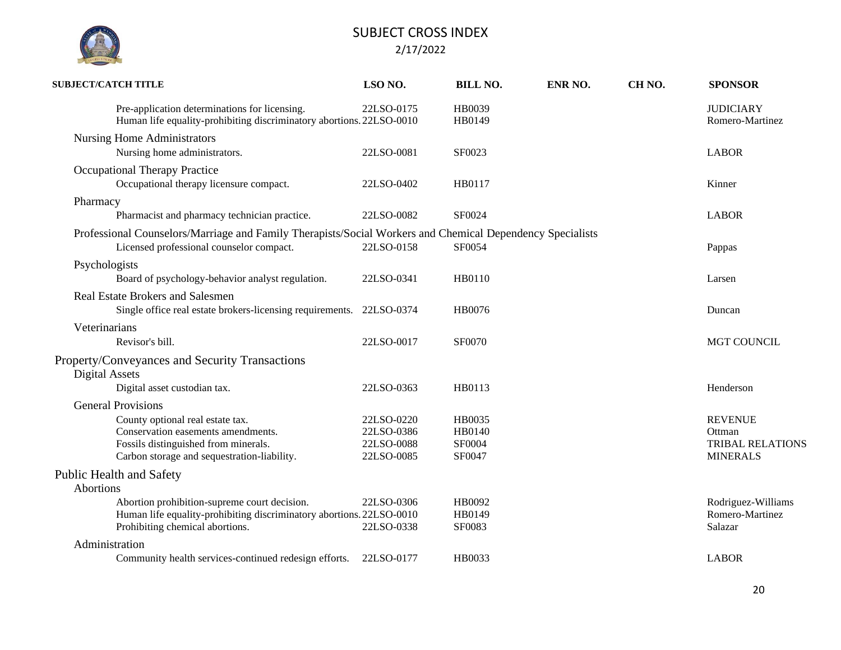| <b>SUBJECT/CATCH TITLE</b>                                                                                                                                    | LSO NO.                                              | <b>BILL NO.</b>                      | ENR NO. | CH <sub>NO</sub> . | <b>SPONSOR</b>                                                         |
|---------------------------------------------------------------------------------------------------------------------------------------------------------------|------------------------------------------------------|--------------------------------------|---------|--------------------|------------------------------------------------------------------------|
| Pre-application determinations for licensing.<br>Human life equality-prohibiting discriminatory abortions. 22LSO-0010                                         | 22LSO-0175                                           | HB0039<br>HB0149                     |         |                    | <b>JUDICIARY</b><br>Romero-Martinez                                    |
| <b>Nursing Home Administrators</b><br>Nursing home administrators.                                                                                            | 22LSO-0081                                           | SF0023                               |         |                    | <b>LABOR</b>                                                           |
| <b>Occupational Therapy Practice</b><br>Occupational therapy licensure compact.                                                                               | 22LSO-0402                                           | HB0117                               |         |                    | Kinner                                                                 |
| Pharmacy<br>Pharmacist and pharmacy technician practice.                                                                                                      | 22LSO-0082                                           | SF0024                               |         |                    | <b>LABOR</b>                                                           |
| Professional Counselors/Marriage and Family Therapists/Social Workers and Chemical Dependency Specialists<br>Licensed professional counselor compact.         | 22LSO-0158                                           | SF0054                               |         |                    | Pappas                                                                 |
| Psychologists<br>Board of psychology-behavior analyst regulation.                                                                                             | 22LSO-0341                                           | HB0110                               |         |                    | Larsen                                                                 |
| <b>Real Estate Brokers and Salesmen</b><br>Single office real estate brokers-licensing requirements.                                                          | 22LSO-0374                                           | HB0076                               |         |                    | Duncan                                                                 |
| Veterinarians<br>Revisor's bill.                                                                                                                              | 22LSO-0017                                           | SF0070                               |         |                    | <b>MGT COUNCIL</b>                                                     |
| Property/Conveyances and Security Transactions<br>Digital Assets<br>Digital asset custodian tax.                                                              | 22LSO-0363                                           | HB0113                               |         |                    | Henderson                                                              |
| <b>General Provisions</b>                                                                                                                                     |                                                      |                                      |         |                    |                                                                        |
| County optional real estate tax.<br>Conservation easements amendments.<br>Fossils distinguished from minerals.<br>Carbon storage and sequestration-liability. | 22LSO-0220<br>22LSO-0386<br>22LSO-0088<br>22LSO-0085 | HB0035<br>HB0140<br>SF0004<br>SF0047 |         |                    | <b>REVENUE</b><br>Ottman<br><b>TRIBAL RELATIONS</b><br><b>MINERALS</b> |
| <b>Public Health and Safety</b><br><b>Abortions</b>                                                                                                           |                                                      |                                      |         |                    |                                                                        |
| Abortion prohibition-supreme court decision.<br>Human life equality-prohibiting discriminatory abortions. 22LSO-0010<br>Prohibiting chemical abortions.       | 22LSO-0306<br>22LSO-0338                             | HB0092<br>HB0149<br>SF0083           |         |                    | Rodriguez-Williams<br>Romero-Martinez<br>Salazar                       |
| Administration                                                                                                                                                |                                                      |                                      |         |                    |                                                                        |
| Community health services-continued redesign efforts.                                                                                                         | 22LSO-0177                                           | HB0033                               |         |                    | <b>LABOR</b>                                                           |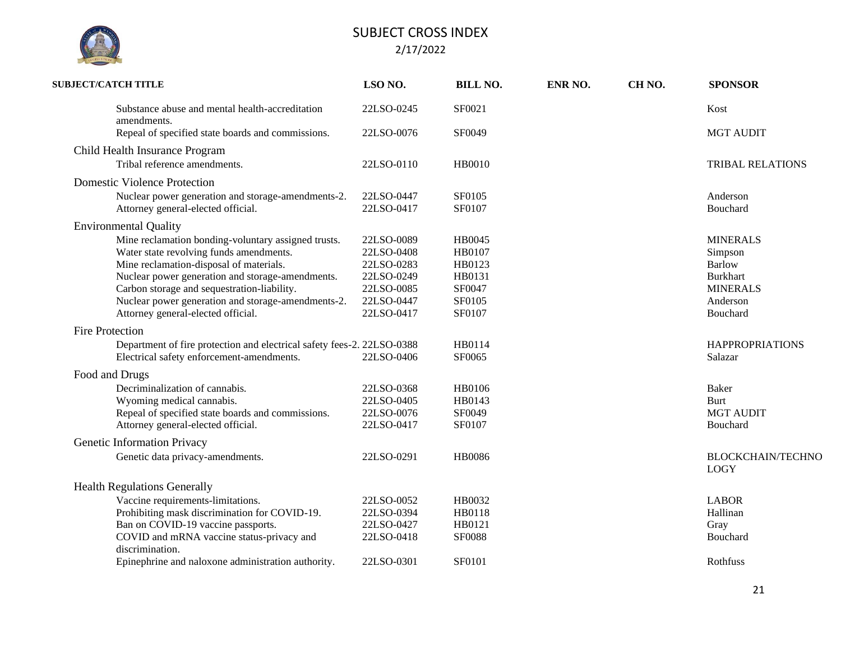

| <b>SUBJECT/CATCH TITLE</b>                                             | LSO NO.    | <b>BILL NO.</b> | ENR NO. | CH <sub>NO</sub> . | <b>SPONSOR</b>                          |
|------------------------------------------------------------------------|------------|-----------------|---------|--------------------|-----------------------------------------|
| Substance abuse and mental health-accreditation<br>amendments.         | 22LSO-0245 | SF0021          |         |                    | Kost                                    |
| Repeal of specified state boards and commissions.                      | 22LSO-0076 | SF0049          |         |                    | <b>MGT AUDIT</b>                        |
| Child Health Insurance Program                                         |            |                 |         |                    |                                         |
| Tribal reference amendments.                                           | 22LSO-0110 | <b>HB0010</b>   |         |                    | <b>TRIBAL RELATIONS</b>                 |
| <b>Domestic Violence Protection</b>                                    |            |                 |         |                    |                                         |
| Nuclear power generation and storage-amendments-2.                     | 22LSO-0447 | SF0105          |         |                    | Anderson                                |
| Attorney general-elected official.                                     | 22LSO-0417 | SF0107          |         |                    | Bouchard                                |
| <b>Environmental Quality</b>                                           |            |                 |         |                    |                                         |
| Mine reclamation bonding-voluntary assigned trusts.                    | 22LSO-0089 | HB0045          |         |                    | <b>MINERALS</b>                         |
| Water state revolving funds amendments.                                | 22LSO-0408 | HB0107          |         |                    | Simpson                                 |
| Mine reclamation-disposal of materials.                                | 22LSO-0283 | HB0123          |         |                    | <b>Barlow</b>                           |
| Nuclear power generation and storage-amendments.                       | 22LSO-0249 | HB0131          |         |                    | <b>Burkhart</b>                         |
| Carbon storage and sequestration-liability.                            | 22LSO-0085 | SF0047          |         |                    | <b>MINERALS</b>                         |
| Nuclear power generation and storage-amendments-2.                     | 22LSO-0447 | SF0105          |         |                    | Anderson                                |
| Attorney general-elected official.                                     | 22LSO-0417 | SF0107          |         |                    | Bouchard                                |
| <b>Fire Protection</b>                                                 |            |                 |         |                    |                                         |
| Department of fire protection and electrical safety fees-2. 22LSO-0388 |            | HB0114          |         |                    | <b>HAPPROPRIATIONS</b>                  |
| Electrical safety enforcement-amendments.                              | 22LSO-0406 | SF0065          |         |                    | Salazar                                 |
| Food and Drugs                                                         |            |                 |         |                    |                                         |
| Decriminalization of cannabis.                                         | 22LSO-0368 | HB0106          |         |                    | Baker                                   |
| Wyoming medical cannabis.                                              | 22LSO-0405 | HB0143          |         |                    | Burt                                    |
| Repeal of specified state boards and commissions.                      | 22LSO-0076 | SF0049          |         |                    | <b>MGT AUDIT</b>                        |
| Attorney general-elected official.                                     | 22LSO-0417 | SF0107          |         |                    | Bouchard                                |
| Genetic Information Privacy                                            |            |                 |         |                    |                                         |
| Genetic data privacy-amendments.                                       | 22LSO-0291 | <b>HB0086</b>   |         |                    | <b>BLOCKCHAIN/TECHNO</b><br><b>LOGY</b> |
| <b>Health Regulations Generally</b>                                    |            |                 |         |                    |                                         |
| Vaccine requirements-limitations.                                      | 22LSO-0052 | HB0032          |         |                    | <b>LABOR</b>                            |
| Prohibiting mask discrimination for COVID-19.                          | 22LSO-0394 | HB0118          |         |                    | Hallinan                                |
| Ban on COVID-19 vaccine passports.                                     | 22LSO-0427 | HB0121          |         |                    | Gray                                    |
| COVID and mRNA vaccine status-privacy and                              | 22LSO-0418 | <b>SF0088</b>   |         |                    | Bouchard                                |
| discrimination.                                                        |            |                 |         |                    |                                         |
| Epinephrine and naloxone administration authority.                     | 22LSO-0301 | SF0101          |         |                    | Rothfuss                                |
|                                                                        |            |                 |         |                    |                                         |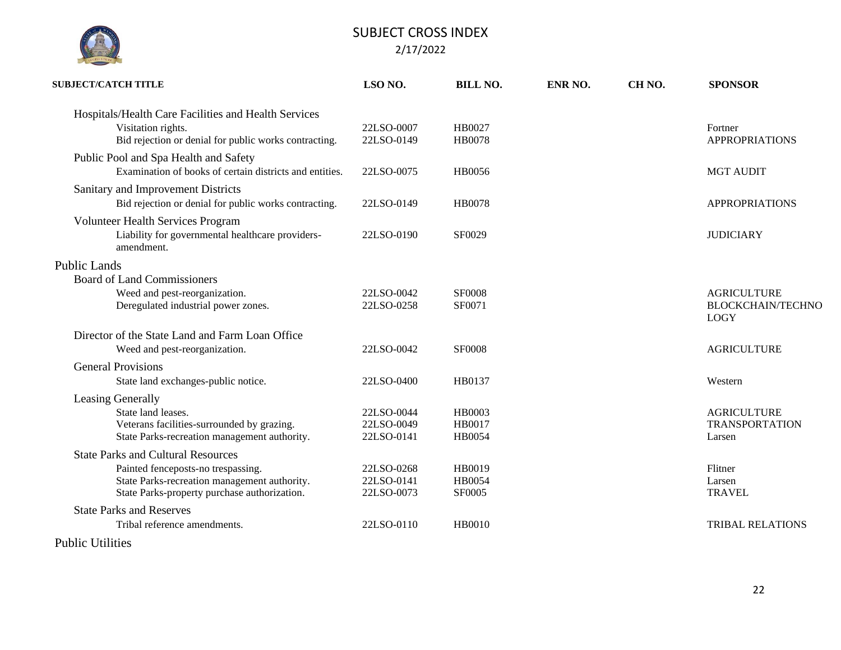

| <b>SUBJECT/CATCH TITLE</b>                                                                                                          | LSO NO.                                | <b>BILL NO.</b>                   | ENR NO. | CH <sub>NO</sub> . | <b>SPONSOR</b>                                                |
|-------------------------------------------------------------------------------------------------------------------------------------|----------------------------------------|-----------------------------------|---------|--------------------|---------------------------------------------------------------|
| Hospitals/Health Care Facilities and Health Services<br>Visitation rights.<br>Bid rejection or denial for public works contracting. | 22LSO-0007<br>22LSO-0149               | HB0027<br><b>HB0078</b>           |         |                    | Fortner<br><b>APPROPRIATIONS</b>                              |
| Public Pool and Spa Health and Safety<br>Examination of books of certain districts and entities.                                    | 22LSO-0075                             | HB0056                            |         |                    | <b>MGT AUDIT</b>                                              |
| Sanitary and Improvement Districts<br>Bid rejection or denial for public works contracting.                                         | 22LSO-0149                             | <b>HB0078</b>                     |         |                    | <b>APPROPRIATIONS</b>                                         |
| Volunteer Health Services Program<br>Liability for governmental healthcare providers-<br>amendment.                                 | 22LSO-0190                             | SF0029                            |         |                    | <b>JUDICIARY</b>                                              |
| <b>Public Lands</b>                                                                                                                 |                                        |                                   |         |                    |                                                               |
| <b>Board of Land Commissioners</b>                                                                                                  |                                        |                                   |         |                    |                                                               |
| Weed and pest-reorganization.<br>Deregulated industrial power zones.                                                                | 22LSO-0042<br>22LSO-0258               | <b>SF0008</b><br>SF0071           |         |                    | <b>AGRICULTURE</b><br><b>BLOCKCHAIN/TECHNO</b><br><b>LOGY</b> |
| Director of the State Land and Farm Loan Office                                                                                     |                                        |                                   |         |                    |                                                               |
| Weed and pest-reorganization.                                                                                                       | 22LSO-0042                             | <b>SF0008</b>                     |         |                    | <b>AGRICULTURE</b>                                            |
| <b>General Provisions</b>                                                                                                           |                                        |                                   |         |                    |                                                               |
| State land exchanges-public notice.                                                                                                 | 22LSO-0400                             | HB0137                            |         |                    | Western                                                       |
| Leasing Generally                                                                                                                   |                                        |                                   |         |                    |                                                               |
| State land leases.<br>Veterans facilities-surrounded by grazing.<br>State Parks-recreation management authority.                    | 22LSO-0044<br>22LSO-0049<br>22LSO-0141 | <b>HB0003</b><br>HB0017<br>HB0054 |         |                    | <b>AGRICULTURE</b><br><b>TRANSPORTATION</b><br>Larsen         |
| <b>State Parks and Cultural Resources</b>                                                                                           |                                        |                                   |         |                    |                                                               |
| Painted fenceposts-no trespassing.<br>State Parks-recreation management authority.<br>State Parks-property purchase authorization.  | 22LSO-0268<br>22LSO-0141<br>22LSO-0073 | HB0019<br>HB0054<br>SF0005        |         |                    | Flitner<br>Larsen<br><b>TRAVEL</b>                            |
| <b>State Parks and Reserves</b>                                                                                                     |                                        |                                   |         |                    |                                                               |
| Tribal reference amendments.                                                                                                        | 22LSO-0110                             | <b>HB0010</b>                     |         |                    | <b>TRIBAL RELATIONS</b>                                       |
| Dublic Utilities                                                                                                                    |                                        |                                   |         |                    |                                                               |

Public Utilities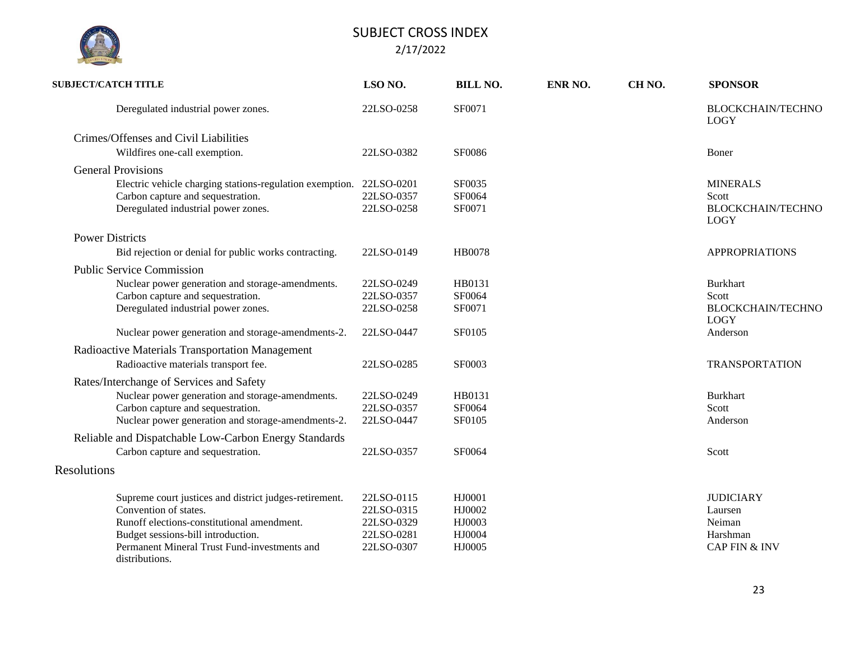| <b>SUBJECT/CATCH TITLE</b>                                                                                                                                                                                                            | LSO NO.                                                            | <b>BILL NO.</b>                                | ENR NO. | CH <sub>NO</sub> . | <b>SPONSOR</b>                                                                |
|---------------------------------------------------------------------------------------------------------------------------------------------------------------------------------------------------------------------------------------|--------------------------------------------------------------------|------------------------------------------------|---------|--------------------|-------------------------------------------------------------------------------|
| Deregulated industrial power zones.                                                                                                                                                                                                   | 22LSO-0258                                                         | SF0071                                         |         |                    | <b>BLOCKCHAIN/TECHNO</b><br><b>LOGY</b>                                       |
| Crimes/Offenses and Civil Liabilities                                                                                                                                                                                                 |                                                                    |                                                |         |                    |                                                                               |
| Wildfires one-call exemption.                                                                                                                                                                                                         | 22LSO-0382                                                         | <b>SF0086</b>                                  |         |                    | Boner                                                                         |
| <b>General Provisions</b>                                                                                                                                                                                                             |                                                                    |                                                |         |                    |                                                                               |
| Electric vehicle charging stations-regulation exemption. 22LSO-0201<br>Carbon capture and sequestration.                                                                                                                              | 22LSO-0357                                                         | SF0035<br>SF0064                               |         |                    | <b>MINERALS</b><br>Scott                                                      |
| Deregulated industrial power zones.                                                                                                                                                                                                   | 22LSO-0258                                                         | SF0071                                         |         |                    | <b>BLOCKCHAIN/TECHNO</b><br><b>LOGY</b>                                       |
| <b>Power Districts</b>                                                                                                                                                                                                                |                                                                    |                                                |         |                    |                                                                               |
| Bid rejection or denial for public works contracting.                                                                                                                                                                                 | 22LSO-0149                                                         | HB0078                                         |         |                    | <b>APPROPRIATIONS</b>                                                         |
| <b>Public Service Commission</b>                                                                                                                                                                                                      |                                                                    |                                                |         |                    |                                                                               |
| Nuclear power generation and storage-amendments.<br>Carbon capture and sequestration.<br>Deregulated industrial power zones.                                                                                                          | 22LSO-0249<br>22LSO-0357<br>22LSO-0258                             | HB0131<br>SF0064<br>SF0071                     |         |                    | <b>Burkhart</b><br>Scott<br><b>BLOCKCHAIN/TECHNO</b>                          |
| Nuclear power generation and storage-amendments-2.                                                                                                                                                                                    | 22LSO-0447                                                         | SF0105                                         |         |                    | <b>LOGY</b><br>Anderson                                                       |
| Radioactive Materials Transportation Management                                                                                                                                                                                       |                                                                    |                                                |         |                    |                                                                               |
| Radioactive materials transport fee.                                                                                                                                                                                                  | 22LSO-0285                                                         | SF0003                                         |         |                    | <b>TRANSPORTATION</b>                                                         |
| Rates/Interchange of Services and Safety                                                                                                                                                                                              |                                                                    |                                                |         |                    |                                                                               |
| Nuclear power generation and storage-amendments.                                                                                                                                                                                      | 22LSO-0249                                                         | HB0131                                         |         |                    | <b>Burkhart</b>                                                               |
| Carbon capture and sequestration.<br>Nuclear power generation and storage-amendments-2.                                                                                                                                               | 22LSO-0357<br>22LSO-0447                                           | SF0064<br>SF0105                               |         |                    | Scott<br>Anderson                                                             |
| Reliable and Dispatchable Low-Carbon Energy Standards<br>Carbon capture and sequestration.                                                                                                                                            | 22LSO-0357                                                         | SF0064                                         |         |                    | Scott                                                                         |
| Resolutions                                                                                                                                                                                                                           |                                                                    |                                                |         |                    |                                                                               |
| Supreme court justices and district judges-retirement.<br>Convention of states.<br>Runoff elections-constitutional amendment.<br>Budget sessions-bill introduction.<br>Permanent Mineral Trust Fund-investments and<br>distributions. | 22LSO-0115<br>22LSO-0315<br>22LSO-0329<br>22LSO-0281<br>22LSO-0307 | HJ0001<br>HJ0002<br>HJ0003<br>HJ0004<br>HJ0005 |         |                    | <b>JUDICIARY</b><br>Laursen<br>Neiman<br>Harshman<br><b>CAP FIN &amp; INV</b> |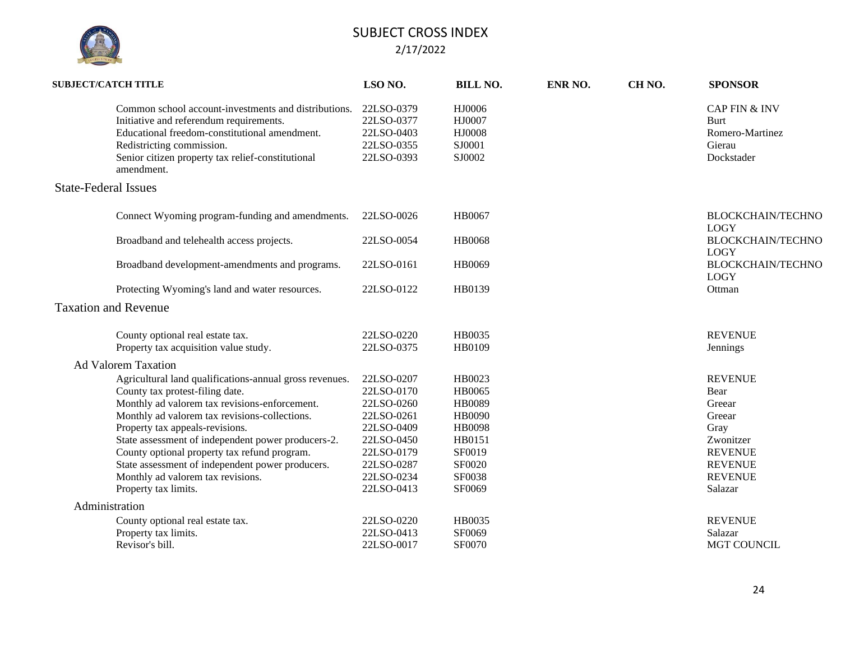

| <b>SUBJECT/CATCH TITLE</b>  |                                                                                                                                                                                                                                                                                                                                                                                                                                                        | LSO NO.                                                                                                                                  | <b>BILL NO.</b>                                                                                                              | ENR NO. | CH <sub>NO</sub> . | <b>SPONSOR</b>                                                                                                                   |
|-----------------------------|--------------------------------------------------------------------------------------------------------------------------------------------------------------------------------------------------------------------------------------------------------------------------------------------------------------------------------------------------------------------------------------------------------------------------------------------------------|------------------------------------------------------------------------------------------------------------------------------------------|------------------------------------------------------------------------------------------------------------------------------|---------|--------------------|----------------------------------------------------------------------------------------------------------------------------------|
|                             | Common school account-investments and distributions.<br>Initiative and referendum requirements.<br>Educational freedom-constitutional amendment.<br>Redistricting commission.<br>Senior citizen property tax relief-constitutional<br>amendment.                                                                                                                                                                                                       | 22LSO-0379<br>22LSO-0377<br>22LSO-0403<br>22LSO-0355<br>22LSO-0393                                                                       | HJ0006<br>HJ0007<br>HJ0008<br>SJ0001<br>SJ0002                                                                               |         |                    | <b>CAP FIN &amp; INV</b><br>Burt<br>Romero-Martinez<br>Gierau<br>Dockstader                                                      |
| <b>State-Federal Issues</b> |                                                                                                                                                                                                                                                                                                                                                                                                                                                        |                                                                                                                                          |                                                                                                                              |         |                    |                                                                                                                                  |
|                             | Connect Wyoming program-funding and amendments.                                                                                                                                                                                                                                                                                                                                                                                                        | 22LSO-0026                                                                                                                               | HB0067                                                                                                                       |         |                    | <b>BLOCKCHAIN/TECHNO</b><br><b>LOGY</b>                                                                                          |
|                             | Broadband and telehealth access projects.                                                                                                                                                                                                                                                                                                                                                                                                              | 22LSO-0054                                                                                                                               | <b>HB0068</b>                                                                                                                |         |                    | <b>BLOCKCHAIN/TECHNO</b><br><b>LOGY</b>                                                                                          |
|                             | Broadband development-amendments and programs.                                                                                                                                                                                                                                                                                                                                                                                                         | 22LSO-0161                                                                                                                               | HB0069                                                                                                                       |         |                    | <b>BLOCKCHAIN/TECHNO</b><br><b>LOGY</b>                                                                                          |
|                             | Protecting Wyoming's land and water resources.                                                                                                                                                                                                                                                                                                                                                                                                         | 22LSO-0122                                                                                                                               | HB0139                                                                                                                       |         |                    | Ottman                                                                                                                           |
| <b>Taxation and Revenue</b> |                                                                                                                                                                                                                                                                                                                                                                                                                                                        |                                                                                                                                          |                                                                                                                              |         |                    |                                                                                                                                  |
|                             | County optional real estate tax.<br>Property tax acquisition value study.                                                                                                                                                                                                                                                                                                                                                                              | 22LSO-0220<br>22LSO-0375                                                                                                                 | HB0035<br>HB0109                                                                                                             |         |                    | <b>REVENUE</b><br>Jennings                                                                                                       |
| <b>Ad Valorem Taxation</b>  |                                                                                                                                                                                                                                                                                                                                                                                                                                                        |                                                                                                                                          |                                                                                                                              |         |                    |                                                                                                                                  |
|                             | Agricultural land qualifications-annual gross revenues.<br>County tax protest-filing date.<br>Monthly ad valorem tax revisions-enforcement.<br>Monthly ad valorem tax revisions-collections.<br>Property tax appeals-revisions.<br>State assessment of independent power producers-2.<br>County optional property tax refund program.<br>State assessment of independent power producers.<br>Monthly ad valorem tax revisions.<br>Property tax limits. | 22LSO-0207<br>22LSO-0170<br>22LSO-0260<br>22LSO-0261<br>22LSO-0409<br>22LSO-0450<br>22LSO-0179<br>22LSO-0287<br>22LSO-0234<br>22LSO-0413 | HB0023<br><b>HB0065</b><br><b>HB0089</b><br><b>HB0090</b><br><b>HB0098</b><br>HB0151<br>SF0019<br>SF0020<br>SF0038<br>SF0069 |         |                    | <b>REVENUE</b><br>Bear<br>Greear<br>Greear<br>Gray<br>Zwonitzer<br><b>REVENUE</b><br><b>REVENUE</b><br><b>REVENUE</b><br>Salazar |
| Administration              |                                                                                                                                                                                                                                                                                                                                                                                                                                                        |                                                                                                                                          |                                                                                                                              |         |                    |                                                                                                                                  |
|                             | County optional real estate tax.<br>Property tax limits.<br>Revisor's bill.                                                                                                                                                                                                                                                                                                                                                                            | 22LSO-0220<br>22LSO-0413<br>22LSO-0017                                                                                                   | HB0035<br>SF0069<br>SF0070                                                                                                   |         |                    | <b>REVENUE</b><br>Salazar<br><b>MGT COUNCIL</b>                                                                                  |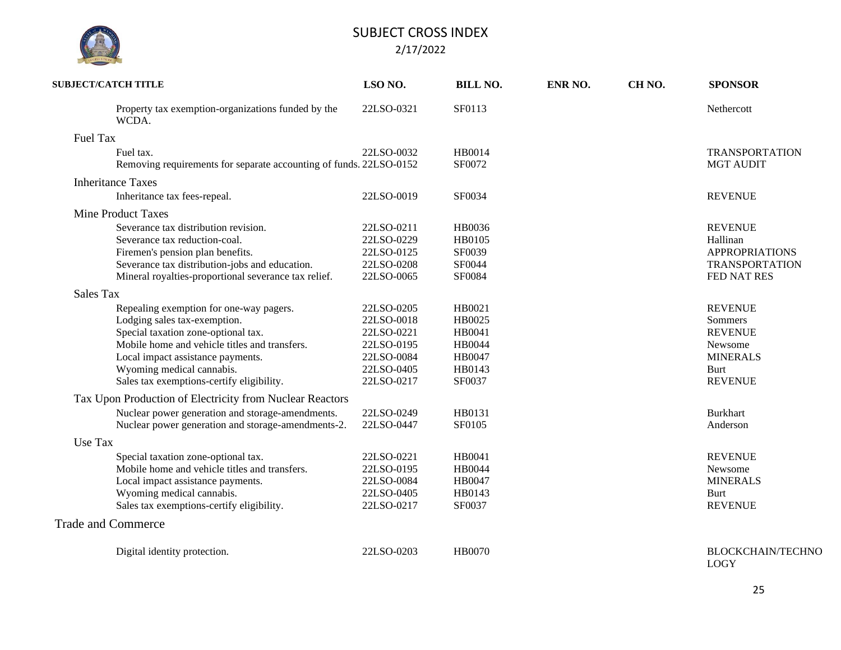| <b>SUBJECT/CATCH TITLE</b>                                                                                                                                                                                                                                                     | LSO NO.                                                                                        | <b>BILL NO.</b>                                                           | ENR NO. | CH <sub>NO</sub> . | <b>SPONSOR</b>                                                                                      |
|--------------------------------------------------------------------------------------------------------------------------------------------------------------------------------------------------------------------------------------------------------------------------------|------------------------------------------------------------------------------------------------|---------------------------------------------------------------------------|---------|--------------------|-----------------------------------------------------------------------------------------------------|
| Property tax exemption-organizations funded by the<br>WCDA.                                                                                                                                                                                                                    | 22LSO-0321                                                                                     | SF0113                                                                    |         |                    | Nethercott                                                                                          |
| <b>Fuel Tax</b>                                                                                                                                                                                                                                                                |                                                                                                |                                                                           |         |                    |                                                                                                     |
| Fuel tax.<br>Removing requirements for separate accounting of funds. 22LSO-0152                                                                                                                                                                                                | 22LSO-0032                                                                                     | HB0014<br>SF0072                                                          |         |                    | <b>TRANSPORTATION</b><br><b>MGT AUDIT</b>                                                           |
| <b>Inheritance Taxes</b>                                                                                                                                                                                                                                                       |                                                                                                |                                                                           |         |                    |                                                                                                     |
| Inheritance tax fees-repeal.                                                                                                                                                                                                                                                   | 22LSO-0019                                                                                     | SF0034                                                                    |         |                    | <b>REVENUE</b>                                                                                      |
| <b>Mine Product Taxes</b>                                                                                                                                                                                                                                                      |                                                                                                |                                                                           |         |                    |                                                                                                     |
| Severance tax distribution revision.<br>Severance tax reduction-coal.<br>Firemen's pension plan benefits.<br>Severance tax distribution-jobs and education.<br>Mineral royalties-proportional severance tax relief.                                                            | 22LSO-0211<br>22LSO-0229<br>22LSO-0125<br>22LSO-0208<br>22LSO-0065                             | HB0036<br>HB0105<br>SF0039<br>SF0044<br>SF0084                            |         |                    | <b>REVENUE</b><br>Hallinan<br><b>APPROPRIATIONS</b><br><b>TRANSPORTATION</b><br>FED NAT RES         |
| <b>Sales Tax</b>                                                                                                                                                                                                                                                               |                                                                                                |                                                                           |         |                    |                                                                                                     |
| Repealing exemption for one-way pagers.<br>Lodging sales tax-exemption.<br>Special taxation zone-optional tax.<br>Mobile home and vehicle titles and transfers.<br>Local impact assistance payments.<br>Wyoming medical cannabis.<br>Sales tax exemptions-certify eligibility. | 22LSO-0205<br>22LSO-0018<br>22LSO-0221<br>22LSO-0195<br>22LSO-0084<br>22LSO-0405<br>22LSO-0217 | HB0021<br>HB0025<br>HB0041<br><b>HB0044</b><br>HB0047<br>HB0143<br>SF0037 |         |                    | <b>REVENUE</b><br>Sommers<br><b>REVENUE</b><br>Newsome<br><b>MINERALS</b><br>Burt<br><b>REVENUE</b> |
| Tax Upon Production of Electricity from Nuclear Reactors                                                                                                                                                                                                                       |                                                                                                |                                                                           |         |                    |                                                                                                     |
| Nuclear power generation and storage-amendments.<br>Nuclear power generation and storage-amendments-2.                                                                                                                                                                         | 22LSO-0249<br>22LSO-0447                                                                       | HB0131<br>SF0105                                                          |         |                    | <b>Burkhart</b><br>Anderson                                                                         |
| Use Tax                                                                                                                                                                                                                                                                        |                                                                                                |                                                                           |         |                    |                                                                                                     |
| Special taxation zone-optional tax.<br>Mobile home and vehicle titles and transfers.<br>Local impact assistance payments.<br>Wyoming medical cannabis.<br>Sales tax exemptions-certify eligibility.                                                                            | 22LSO-0221<br>22LSO-0195<br>22LSO-0084<br>22LSO-0405<br>22LSO-0217                             | HB0041<br><b>HB0044</b><br>HB0047<br>HB0143<br>SF0037                     |         |                    | <b>REVENUE</b><br>Newsome<br><b>MINERALS</b><br>Burt<br><b>REVENUE</b>                              |
| <b>Trade and Commerce</b>                                                                                                                                                                                                                                                      |                                                                                                |                                                                           |         |                    |                                                                                                     |
| Digital identity protection.                                                                                                                                                                                                                                                   | 22LSO-0203                                                                                     | <b>HB0070</b>                                                             |         |                    | <b>BLOCKCHAIN/TECHNO</b><br><b>LOGY</b>                                                             |